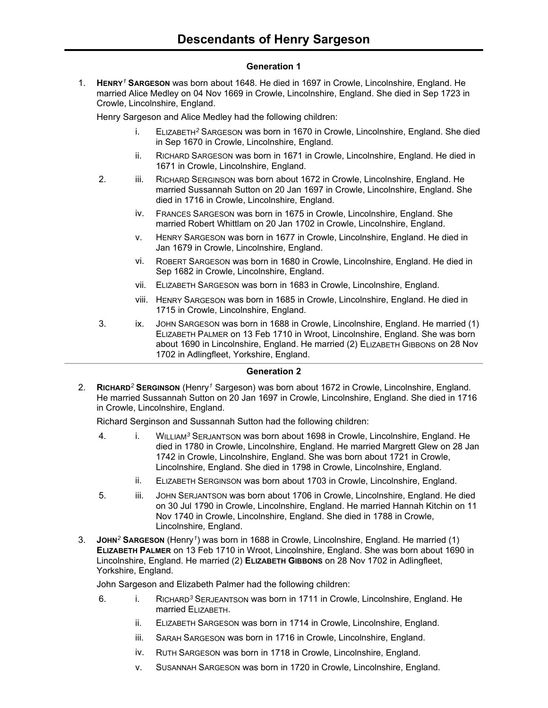## **Generation 1**

1. **HENRY***<sup>1</sup>* **SARGESON** was born about 1648. He died in 1697 in Crowle, Lincolnshire, England. He married Alice Medley on 04 Nov 1669 in Crowle, Lincolnshire, England. She died in Sep 1723 in Crowle, Lincolnshire, England.

Henry Sargeson and Alice Medley had the following children:

- i. ELIZABETH*<sup>2</sup>* SARGESON was born in 1670 in Crowle, Lincolnshire, England. She died in Sep 1670 in Crowle, Lincolnshire, England.
- ii. RICHARD SARGESON was born in 1671 in Crowle, Lincolnshire, England. He died in 1671 in Crowle, Lincolnshire, England.
- 2. iii. RICHARD SERGINSON was born about 1672 in Crowle, Lincolnshire, England. He married Sussannah Sutton on 20 Jan 1697 in Crowle, Lincolnshire, England. She died in 1716 in Crowle, Lincolnshire, England.
	- iv. FRANCES SARGESON was born in 1675 in Crowle, Lincolnshire, England. She married Robert Whittlam on 20 Jan 1702 in Crowle, Lincolnshire, England.
	- v. HENRY SARGESON was born in 1677 in Crowle, Lincolnshire, England. He died in Jan 1679 in Crowle, Lincolnshire, England.
	- vi. ROBERT SARGESON was born in 1680 in Crowle, Lincolnshire, England. He died in Sep 1682 in Crowle, Lincolnshire, England.
	- vii. ELIZABETH SARGESON was born in 1683 in Crowle, Lincolnshire, England.
	- viii. HENRY SARGESON was born in 1685 in Crowle, Lincolnshire, England. He died in 1715 in Crowle, Lincolnshire, England.
- 3. ix. JOHN SARGESON was born in 1688 in Crowle, Lincolnshire, England. He married (1) ELIZABETH PALMER on 13 Feb 1710 in Wroot, Lincolnshire, England. She was born about 1690 in Lincolnshire, England. He married (2) ELIZABETH GIBBONS on 28 Nov 1702 in Adlingfleet, Yorkshire, England.

### **Generation 2**

2. **RICHARD***<sup>2</sup>* **SERGINSON** (Henry*<sup>1</sup>* Sargeson) was born about 1672 in Crowle, Lincolnshire, England. He married Sussannah Sutton on 20 Jan 1697 in Crowle, Lincolnshire, England. She died in 1716 in Crowle, Lincolnshire, England.

Richard Serginson and Sussannah Sutton had the following children:

- 4. i. WILLIAM*<sup>3</sup>* SERJANTSON was born about 1698 in Crowle, Lincolnshire, England. He died in 1780 in Crowle, Lincolnshire, England. He married Margrett Glew on 28 Jan 1742 in Crowle, Lincolnshire, England. She was born about 1721 in Crowle, Lincolnshire, England. She died in 1798 in Crowle, Lincolnshire, England.
	- ii. ELIZABETH SERGINSON was born about 1703 in Crowle, Lincolnshire, England.
- 5. iii. JOHN SERJANTSON was born about 1706 in Crowle, Lincolnshire, England. He died on 30 Jul 1790 in Crowle, Lincolnshire, England. He married Hannah Kitchin on 11 Nov 1740 in Crowle, Lincolnshire, England. She died in 1788 in Crowle, Lincolnshire, England.
- 3. **JOHN***<sup>2</sup>* **SARGESON** (Henry*<sup>1</sup>* ) was born in 1688 in Crowle, Lincolnshire, England. He married (1) **ELIZABETH PALMER** on 13 Feb 1710 in Wroot, Lincolnshire, England. She was born about 1690 in Lincolnshire, England. He married (2) **ELIZABETH GIBBONS** on 28 Nov 1702 in Adlingfleet, Yorkshire, England.

John Sargeson and Elizabeth Palmer had the following children:

- 6. i. RICHARD*<sup>3</sup>* SERJEANTSON was born in 1711 in Crowle, Lincolnshire, England. He married ELIZABETH.
	- ii. ELIZABETH SARGESON was born in 1714 in Crowle, Lincolnshire, England.
	- iii. SARAH SARGESON was born in 1716 in Crowle, Lincolnshire, England.
	- iv. RUTH SARGESON was born in 1718 in Crowle, Lincolnshire, England.
	- v. SUSANNAH SARGESON was born in 1720 in Crowle, Lincolnshire, England.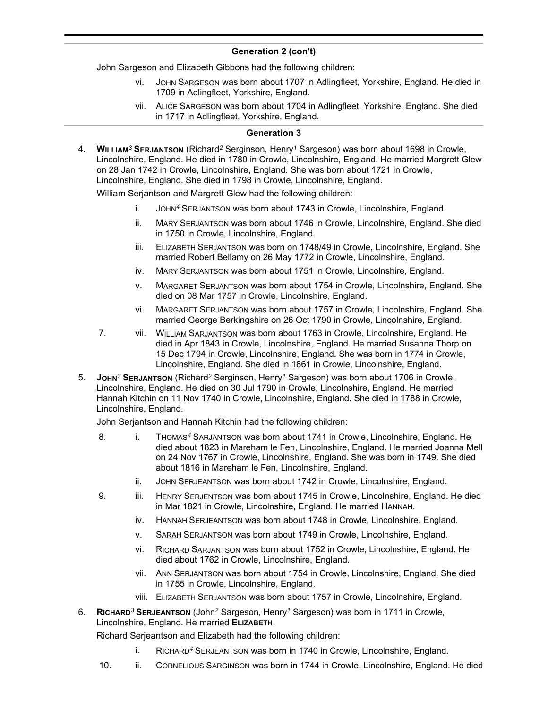John Sargeson and Elizabeth Gibbons had the following children:

- vi. JOHN SARGESON was born about 1707 in Adlingfleet, Yorkshire, England. He died in 1709 in Adlingfleet, Yorkshire, England.
- vii. ALICE SARGESON was born about 1704 in Adlingfleet, Yorkshire, England. She died in 1717 in Adlingfleet, Yorkshire, England.

### **Generation 3**

4. **WILLIAM***<sup>3</sup>* **SERJANTSON** (Richard*<sup>2</sup>* Serginson, Henry*<sup>1</sup>* Sargeson) was born about 1698 in Crowle, Lincolnshire, England. He died in 1780 in Crowle, Lincolnshire, England. He married Margrett Glew on 28 Jan 1742 in Crowle, Lincolnshire, England. She was born about 1721 in Crowle, Lincolnshire, England. She died in 1798 in Crowle, Lincolnshire, England.

William Seriantson and Margrett Glew had the following children:

- i. JOHN*<sup>4</sup>* SERJANTSON was born about 1743 in Crowle, Lincolnshire, England.
- ii. MARY SERJANTSON was born about 1746 in Crowle, Lincolnshire, England. She died in 1750 in Crowle, Lincolnshire, England.
- iii. ELIZABETH SERJANTSON was born on 1748/49 in Crowle, Lincolnshire, England. She married Robert Bellamy on 26 May 1772 in Crowle, Lincolnshire, England.
- iv. MARY SERJANTSON was born about 1751 in Crowle, Lincolnshire, England.
- v. MARGARET SERJANTSON was born about 1754 in Crowle, Lincolnshire, England. She died on 08 Mar 1757 in Crowle, Lincolnshire, England.
- vi. MARGARET SERJANTSON was born about 1757 in Crowle, Lincolnshire, England. She married George Berkingshire on 26 Oct 1790 in Crowle, Lincolnshire, England.
- 7. vii. WILLIAM SARJANTSON was born about 1763 in Crowle, Lincolnshire, England. He died in Apr 1843 in Crowle, Lincolnshire, England. He married Susanna Thorp on 15 Dec 1794 in Crowle, Lincolnshire, England. She was born in 1774 in Crowle, Lincolnshire, England. She died in 1861 in Crowle, Lincolnshire, England.
- 5. **JOHN***<sup>3</sup>* **SERJANTSON** (Richard*<sup>2</sup>* Serginson, Henry*<sup>1</sup>* Sargeson) was born about 1706 in Crowle, Lincolnshire, England. He died on 30 Jul 1790 in Crowle, Lincolnshire, England. He married Hannah Kitchin on 11 Nov 1740 in Crowle, Lincolnshire, England. She died in 1788 in Crowle, Lincolnshire, England.

John Serjantson and Hannah Kitchin had the following children:

- 8. i. THOMAS<sup>4</sup> SARJANTSON was born about 1741 in Crowle, Lincolnshire, England. He died about 1823 in Mareham le Fen, Lincolnshire, England. He married Joanna Mell on 24 Nov 1767 in Crowle, Lincolnshire, England. She was born in 1749. She died about 1816 in Mareham le Fen, Lincolnshire, England.
	- ii. JOHN SERJEANTSON was born about 1742 in Crowle, Lincolnshire, England.
- 9. iii. HENRY SERJENTSON was born about 1745 in Crowle, Lincolnshire, England. He died in Mar 1821 in Crowle, Lincolnshire, England. He married HANNAH.
	- iv. HANNAH SERJEANTSON was born about 1748 in Crowle, Lincolnshire, England.
	- v. SARAH SERJANTSON was born about 1749 in Crowle, Lincolnshire, England.
	- vi. RICHARD SARJANTSON was born about 1752 in Crowle, Lincolnshire, England. He died about 1762 in Crowle, Lincolnshire, England.
	- vii. ANN SERJANTSON was born about 1754 in Crowle, Lincolnshire, England. She died in 1755 in Crowle, Lincolnshire, England.
	- viii. ELIZABETH SERJANTSON was born about 1757 in Crowle, Lincolnshire, England.
- 6. **RICHARD***<sup>3</sup>* **SERJEANTSON** (John*<sup>2</sup>* Sargeson, Henry*<sup>1</sup>* Sargeson) was born in 1711 in Crowle, Lincolnshire, England. He married **ELIZABETH**.

Richard Serjeantson and Elizabeth had the following children:

- i. RICHARD*<sup>4</sup>* SERJEANTSON was born in 1740 in Crowle, Lincolnshire, England.
- 10. ii. CORNELIOUS SARGINSON was born in 1744 in Crowle, Lincolnshire, England. He died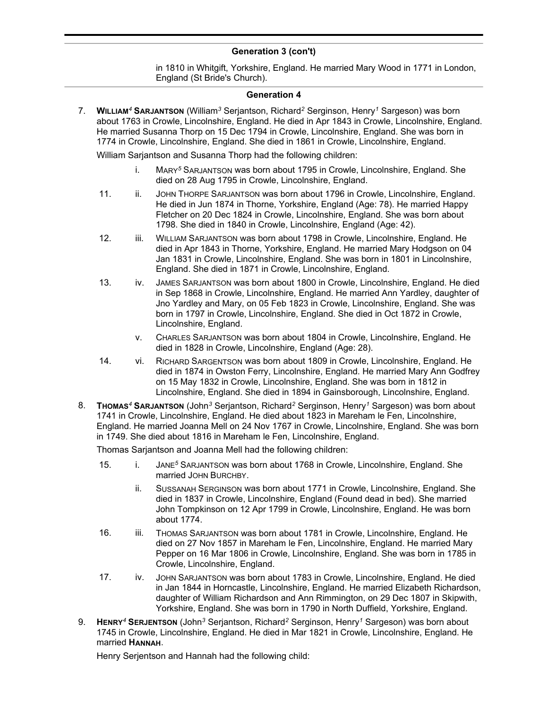in 1810 in Whitgift, Yorkshire, England. He married Mary Wood in 1771 in London, England (St Bride's Church).

### **Generation 4**

7. **WILLIAM***<sup>4</sup>* **SARJANTSON** (William*<sup>3</sup>* Serjantson, Richard*<sup>2</sup>* Serginson, Henry*<sup>1</sup>* Sargeson) was born about 1763 in Crowle, Lincolnshire, England. He died in Apr 1843 in Crowle, Lincolnshire, England. He married Susanna Thorp on 15 Dec 1794 in Crowle, Lincolnshire, England. She was born in 1774 in Crowle, Lincolnshire, England. She died in 1861 in Crowle, Lincolnshire, England.

William Sarjantson and Susanna Thorp had the following children:

- i. MARY*<sup>5</sup>* SARJANTSON was born about 1795 in Crowle, Lincolnshire, England. She died on 28 Aug 1795 in Crowle, Lincolnshire, England.
- 11. ii. JOHN THORPE SARJANTSON was born about 1796 in Crowle, Lincolnshire, England. He died in Jun 1874 in Thorne, Yorkshire, England (Age: 78). He married Happy Fletcher on 20 Dec 1824 in Crowle, Lincolnshire, England. She was born about 1798. She died in 1840 in Crowle, Lincolnshire, England (Age: 42).
- 12. iii. WILLIAM SARJANTSON was born about 1798 in Crowle, Lincolnshire, England. He died in Apr 1843 in Thorne, Yorkshire, England. He married Mary Hodgson on 04 Jan 1831 in Crowle, Lincolnshire, England. She was born in 1801 in Lincolnshire, England. She died in 1871 in Crowle, Lincolnshire, England.
- 13. iv. JAMES SARJANTSON was born about 1800 in Crowle, Lincolnshire, England. He died in Sep 1868 in Crowle, Lincolnshire, England. He married Ann Yardley, daughter of Jno Yardley and Mary, on 05 Feb 1823 in Crowle, Lincolnshire, England. She was born in 1797 in Crowle, Lincolnshire, England. She died in Oct 1872 in Crowle, Lincolnshire, England.
	- v. CHARLES SARJANTSON was born about 1804 in Crowle, Lincolnshire, England. He died in 1828 in Crowle, Lincolnshire, England (Age: 28).
- 14. vi. RICHARD SARGENTSON was born about 1809 in Crowle, Lincolnshire, England. He died in 1874 in Owston Ferry, Lincolnshire, England. He married Mary Ann Godfrey on 15 May 1832 in Crowle, Lincolnshire, England. She was born in 1812 in Lincolnshire, England. She died in 1894 in Gainsborough, Lincolnshire, England.
- 8. **THOMAS***<sup>4</sup>* **SARJANTSON** (John*<sup>3</sup>* Serjantson, Richard*<sup>2</sup>* Serginson, Henry*<sup>1</sup>* Sargeson) was born about 1741 in Crowle, Lincolnshire, England. He died about 1823 in Mareham le Fen, Lincolnshire, England. He married Joanna Mell on 24 Nov 1767 in Crowle, Lincolnshire, England. She was born in 1749. She died about 1816 in Mareham le Fen, Lincolnshire, England.

Thomas Sarjantson and Joanna Mell had the following children:

- 15. i. JANE*<sup>5</sup>* SARJANTSON was born about 1768 in Crowle, Lincolnshire, England. She married JOHN BURCHBY.
	- ii. SUSSANAH SERGINSON was born about 1771 in Crowle, Lincolnshire, England. She died in 1837 in Crowle, Lincolnshire, England (Found dead in bed). She married John Tompkinson on 12 Apr 1799 in Crowle, Lincolnshire, England. He was born about 1774.
- 16. iii. THOMAS SARJANTSON was born about 1781 in Crowle, Lincolnshire, England. He died on 27 Nov 1857 in Mareham le Fen, Lincolnshire, England. He married Mary Pepper on 16 Mar 1806 in Crowle, Lincolnshire, England. She was born in 1785 in Crowle, Lincolnshire, England.
- 17. iv. JOHN SARJANTSON was born about 1783 in Crowle, Lincolnshire, England. He died in Jan 1844 in Horncastle, Lincolnshire, England. He married Elizabeth Richardson, daughter of William Richardson and Ann Rimmington, on 29 Dec 1807 in Skipwith, Yorkshire, England. She was born in 1790 in North Duffield, Yorkshire, England.
- 9. **HENRY***<sup>4</sup>* **SERJENTSON** (John*<sup>3</sup>* Serjantson, Richard*<sup>2</sup>* Serginson, Henry*<sup>1</sup>* Sargeson) was born about 1745 in Crowle, Lincolnshire, England. He died in Mar 1821 in Crowle, Lincolnshire, England. He married **HANNAH**.

Henry Serjentson and Hannah had the following child: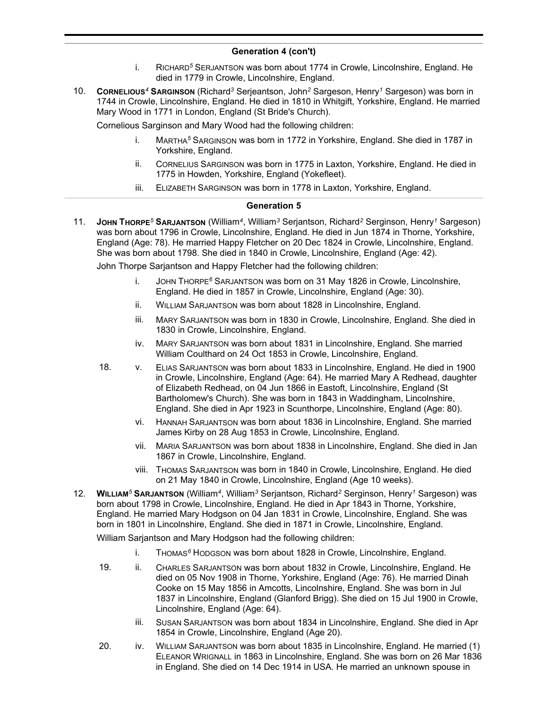- i. RICHARD*<sup>5</sup>* SERJANTSON was born about 1774 in Crowle, Lincolnshire, England. He died in 1779 in Crowle, Lincolnshire, England.
- 10. **CORNELIOUS***<sup>4</sup>* **SARGINSON** (Richard*<sup>3</sup>* Serjeantson, John*<sup>2</sup>* Sargeson, Henry*<sup>1</sup>* Sargeson) was born in 1744 in Crowle, Lincolnshire, England. He died in 1810 in Whitgift, Yorkshire, England. He married Mary Wood in 1771 in London, England (St Bride's Church).

Cornelious Sarginson and Mary Wood had the following children:

- i. MARTHA*<sup>5</sup>* SARGINSON was born in 1772 in Yorkshire, England. She died in 1787 in Yorkshire, England.
- ii. CORNELIUS SARGINSON was born in 1775 in Laxton, Yorkshire, England. He died in 1775 in Howden, Yorkshire, England (Yokefleet).
- iii. ELIZABETH SARGINSON was born in 1778 in Laxton, Yorkshire, England.

### **Generation 5**

11. **JOHN THORPE***<sup>5</sup>* **SARJANTSON** (William*<sup>4</sup>* , William*<sup>3</sup>* Serjantson, Richard*<sup>2</sup>* Serginson, Henry*<sup>1</sup>* Sargeson) was born about 1796 in Crowle, Lincolnshire, England. He died in Jun 1874 in Thorne, Yorkshire, England (Age: 78). He married Happy Fletcher on 20 Dec 1824 in Crowle, Lincolnshire, England. She was born about 1798. She died in 1840 in Crowle, Lincolnshire, England (Age: 42).

John Thorpe Sarjantson and Happy Fletcher had the following children:

- i. JOHN THORPE*<sup>6</sup>* SARJANTSON was born on 31 May 1826 in Crowle, Lincolnshire, England. He died in 1857 in Crowle, Lincolnshire, England (Age: 30).
- ii. WILLIAM SARJANTSON was born about 1828 in Lincolnshire, England.
- iii. MARY SARJANTSON was born in 1830 in Crowle, Lincolnshire, England. She died in 1830 in Crowle, Lincolnshire, England.
- iv. MARY SARJANTSON was born about 1831 in Lincolnshire, England. She married William Coulthard on 24 Oct 1853 in Crowle, Lincolnshire, England.
- 18. v. ELIAS SARJANTSON was born about 1833 in Lincolnshire, England. He died in 1900 in Crowle, Lincolnshire, England (Age: 64). He married Mary A Redhead, daughter of Elizabeth Redhead, on 04 Jun 1866 in Eastoft, Lincolnshire, England (St Bartholomew's Church). She was born in 1843 in Waddingham, Lincolnshire, England. She died in Apr 1923 in Scunthorpe, Lincolnshire, England (Age: 80).
	- vi. HANNAH SARJANTSON was born about 1836 in Lincolnshire, England. She married James Kirby on 28 Aug 1853 in Crowle, Lincolnshire, England.
	- vii. MARIA SARJANTSON was born about 1838 in Lincolnshire, England. She died in Jan 1867 in Crowle, Lincolnshire, England.
	- viii. THOMAS SARJANTSON was born in 1840 in Crowle, Lincolnshire, England. He died on 21 May 1840 in Crowle, Lincolnshire, England (Age 10 weeks).
- 12. **WILLIAM***<sup>5</sup>* **SARJANTSON** (William*<sup>4</sup>* , William*<sup>3</sup>* Serjantson, Richard*<sup>2</sup>* Serginson, Henry*<sup>1</sup>* Sargeson) was born about 1798 in Crowle, Lincolnshire, England. He died in Apr 1843 in Thorne, Yorkshire, England. He married Mary Hodgson on 04 Jan 1831 in Crowle, Lincolnshire, England. She was born in 1801 in Lincolnshire, England. She died in 1871 in Crowle, Lincolnshire, England.

William Sarjantson and Mary Hodgson had the following children:

- i. THOMAS*<sup>6</sup>* HODGSON was born about 1828 in Crowle, Lincolnshire, England.
- 19. ii. CHARLES SARJANTSON was born about 1832 in Crowle, Lincolnshire, England. He died on 05 Nov 1908 in Thorne, Yorkshire, England (Age: 76). He married Dinah Cooke on 15 May 1856 in Amcotts, Lincolnshire, England. She was born in Jul 1837 in Lincolnshire, England (Glanford Brigg). She died on 15 Jul 1900 in Crowle, Lincolnshire, England (Age: 64).
	- iii. SUSAN SARJANTSON was born about 1834 in Lincolnshire, England. She died in Apr 1854 in Crowle, Lincolnshire, England (Age 20).
- 20. iv. WILLIAM SARJANTSON was born about 1835 in Lincolnshire, England. He married (1) ELEANOR WRIGNALL in 1863 in Lincolnshire, England. She was born on 26 Mar 1836 in England. She died on 14 Dec 1914 in USA. He married an unknown spouse in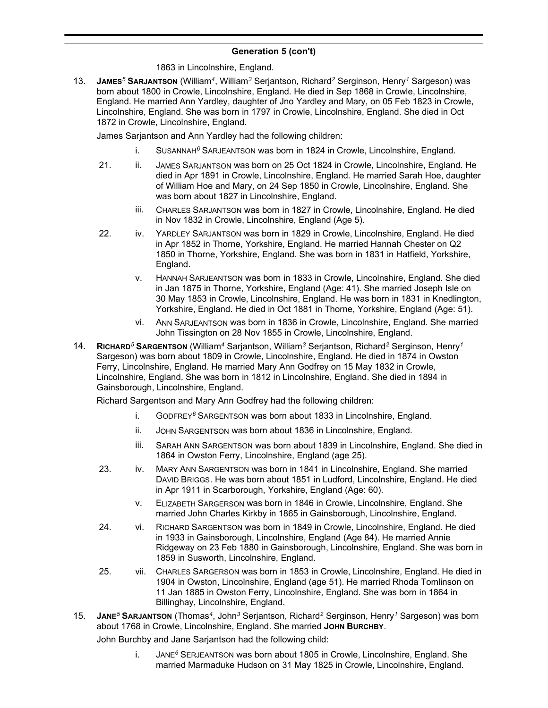### 1863 in Lincolnshire, England.

13. **JAMES***<sup>5</sup>* **SARJANTSON** (William*<sup>4</sup>* , William*<sup>3</sup>* Serjantson, Richard*<sup>2</sup>* Serginson, Henry*<sup>1</sup>* Sargeson) was born about 1800 in Crowle, Lincolnshire, England. He died in Sep 1868 in Crowle, Lincolnshire, England. He married Ann Yardley, daughter of Jno Yardley and Mary, on 05 Feb 1823 in Crowle, Lincolnshire, England. She was born in 1797 in Crowle, Lincolnshire, England. She died in Oct 1872 in Crowle, Lincolnshire, England.

James Sarjantson and Ann Yardley had the following children:

- i. SUSANNAH*<sup>6</sup>* SARJEANTSON was born in 1824 in Crowle, Lincolnshire, England.
- 21. ii. JAMES SARJANTSON was born on 25 Oct 1824 in Crowle, Lincolnshire, England. He died in Apr 1891 in Crowle, Lincolnshire, England. He married Sarah Hoe, daughter of William Hoe and Mary, on 24 Sep 1850 in Crowle, Lincolnshire, England. She was born about 1827 in Lincolnshire, England.
	- iii. CHARLES SARJANTSON was born in 1827 in Crowle, Lincolnshire, England. He died in Nov 1832 in Crowle, Lincolnshire, England (Age 5).
- 22. iv. YARDLEY SARJANTSON was born in 1829 in Crowle, Lincolnshire, England. He died in Apr 1852 in Thorne, Yorkshire, England. He married Hannah Chester on Q2 1850 in Thorne, Yorkshire, England. She was born in 1831 in Hatfield, Yorkshire, England.
	- v. HANNAH SARJEANTSON was born in 1833 in Crowle, Lincolnshire, England. She died in Jan 1875 in Thorne, Yorkshire, England (Age: 41). She married Joseph Isle on 30 May 1853 in Crowle, Lincolnshire, England. He was born in 1831 in Knedlington, Yorkshire, England. He died in Oct 1881 in Thorne, Yorkshire, England (Age: 51).
	- vi. ANN SARJEANTSON was born in 1836 in Crowle, Lincolnshire, England. She married John Tissington on 28 Nov 1855 in Crowle, Lincolnshire, England.
- 14. **RICHARD***<sup>5</sup>* **SARGENTSON** (William*<sup>4</sup>* Sarjantson, William*<sup>3</sup>* Serjantson, Richard*<sup>2</sup>* Serginson, Henry*<sup>1</sup>* Sargeson) was born about 1809 in Crowle, Lincolnshire, England. He died in 1874 in Owston Ferry, Lincolnshire, England. He married Mary Ann Godfrey on 15 May 1832 in Crowle, Lincolnshire, England. She was born in 1812 in Lincolnshire, England. She died in 1894 in Gainsborough, Lincolnshire, England.

Richard Sargentson and Mary Ann Godfrey had the following children:

- i. GODFREY*<sup>6</sup>* SARGENTSON was born about 1833 in Lincolnshire, England.
- ii. JOHN SARGENTSON was born about 1836 in Lincolnshire, England.
- iii. SARAH ANN SARGENTSON was born about 1839 in Lincolnshire, England. She died in 1864 in Owston Ferry, Lincolnshire, England (age 25).
- 23. iv. MARY ANN SARGENTSON was born in 1841 in Lincolnshire, England. She married DAVID BRIGGS. He was born about 1851 in Ludford, Lincolnshire, England. He died in Apr 1911 in Scarborough, Yorkshire, England (Age: 60).
	- v. ELIZABETH SARGERSON was born in 1846 in Crowle, Lincolnshire, England. She married John Charles Kirkby in 1865 in Gainsborough, Lincolnshire, England.
- 24. vi. RICHARD SARGENTSON was born in 1849 in Crowle, Lincolnshire, England. He died in 1933 in Gainsborough, Lincolnshire, England (Age 84). He married Annie Ridgeway on 23 Feb 1880 in Gainsborough, Lincolnshire, England. She was born in 1859 in Susworth, Lincolnshire, England.
- 25. vii. CHARLES SARGERSON was born in 1853 in Crowle, Lincolnshire, England. He died in 1904 in Owston, Lincolnshire, England (age 51). He married Rhoda Tomlinson on 11 Jan 1885 in Owston Ferry, Lincolnshire, England. She was born in 1864 in Billinghay, Lincolnshire, England.
- 15. **JANE***<sup>5</sup>* **SARJANTSON** (Thomas*<sup>4</sup>* , John*<sup>3</sup>* Serjantson, Richard*<sup>2</sup>* Serginson, Henry*<sup>1</sup>* Sargeson) was born about 1768 in Crowle, Lincolnshire, England. She married **JOHN BURCHBY**.

John Burchby and Jane Sarjantson had the following child:

i. JANE*<sup>6</sup>* SERJEANTSON was born about 1805 in Crowle, Lincolnshire, England. She married Marmaduke Hudson on 31 May 1825 in Crowle, Lincolnshire, England.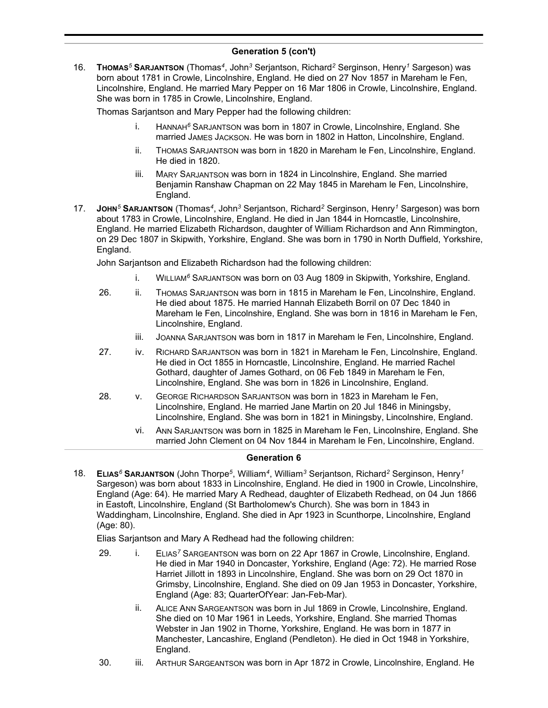16. **THOMAS***<sup>5</sup>* **SARJANTSON** (Thomas*<sup>4</sup>* , John*<sup>3</sup>* Serjantson, Richard*<sup>2</sup>* Serginson, Henry*<sup>1</sup>* Sargeson) was born about 1781 in Crowle, Lincolnshire, England. He died on 27 Nov 1857 in Mareham le Fen, Lincolnshire, England. He married Mary Pepper on 16 Mar 1806 in Crowle, Lincolnshire, England. She was born in 1785 in Crowle, Lincolnshire, England.

Thomas Sarjantson and Mary Pepper had the following children:

- i. HANNAH*<sup>6</sup>* SARJANTSON was born in 1807 in Crowle, Lincolnshire, England. She married JAMES JACKSON. He was born in 1802 in Hatton, Lincolnshire, England.
- ii. THOMAS SARJANTSON was born in 1820 in Mareham le Fen, Lincolnshire, England. He died in 1820.
- iii. MARY SARJANTSON was born in 1824 in Lincolnshire, England. She married Benjamin Ranshaw Chapman on 22 May 1845 in Mareham le Fen, Lincolnshire, England.
- 17. **JOHN***<sup>5</sup>* **SARJANTSON** (Thomas*<sup>4</sup>* , John*<sup>3</sup>* Serjantson, Richard*<sup>2</sup>* Serginson, Henry*<sup>1</sup>* Sargeson) was born about 1783 in Crowle, Lincolnshire, England. He died in Jan 1844 in Horncastle, Lincolnshire, England. He married Elizabeth Richardson, daughter of William Richardson and Ann Rimmington, on 29 Dec 1807 in Skipwith, Yorkshire, England. She was born in 1790 in North Duffield, Yorkshire, England.

John Sarjantson and Elizabeth Richardson had the following children:

- i. WILLIAM*<sup>6</sup>* SARJANTSON was born on 03 Aug 1809 in Skipwith, Yorkshire, England.
- 26. ii. THOMAS SARJANTSON was born in 1815 in Mareham le Fen, Lincolnshire, England. He died about 1875. He married Hannah Elizabeth Borril on 07 Dec 1840 in Mareham le Fen, Lincolnshire, England. She was born in 1816 in Mareham le Fen, Lincolnshire, England.
	- iii. JOANNA SARJANTSON was born in 1817 in Mareham le Fen, Lincolnshire, England.
- 27. iv. RICHARD SARJANTSON was born in 1821 in Mareham le Fen, Lincolnshire, England. He died in Oct 1855 in Horncastle, Lincolnshire, England. He married Rachel Gothard, daughter of James Gothard, on 06 Feb 1849 in Mareham le Fen, Lincolnshire, England. She was born in 1826 in Lincolnshire, England.
- 28. v. GEORGE RICHARDSON SARJANTSON was born in 1823 in Mareham le Fen, Lincolnshire, England. He married Jane Martin on 20 Jul 1846 in Miningsby, Lincolnshire, England. She was born in 1821 in Miningsby, Lincolnshire, England.
	- vi. ANN SARJANTSON was born in 1825 in Mareham le Fen, Lincolnshire, England. She married John Clement on 04 Nov 1844 in Mareham le Fen, Lincolnshire, England.

### **Generation 6**

18. **ELIAS***<sup>6</sup>* **SARJANTSON** (John Thorpe*<sup>5</sup>* , William*<sup>4</sup>* , William*<sup>3</sup>* Serjantson, Richard*<sup>2</sup>* Serginson, Henry*<sup>1</sup>* Sargeson) was born about 1833 in Lincolnshire, England. He died in 1900 in Crowle, Lincolnshire, England (Age: 64). He married Mary A Redhead, daughter of Elizabeth Redhead, on 04 Jun 1866 in Eastoft, Lincolnshire, England (St Bartholomew's Church). She was born in 1843 in Waddingham, Lincolnshire, England. She died in Apr 1923 in Scunthorpe, Lincolnshire, England (Age: 80).

Elias Sarjantson and Mary A Redhead had the following children:

- 29. i. ELIAS*<sup>7</sup>* SARGEANTSON was born on 22 Apr 1867 in Crowle, Lincolnshire, England. He died in Mar 1940 in Doncaster, Yorkshire, England (Age: 72). He married Rose Harriet Jillott in 1893 in Lincolnshire, England. She was born on 29 Oct 1870 in Grimsby, Lincolnshire, England. She died on 09 Jan 1953 in Doncaster, Yorkshire, England (Age: 83; QuarterOfYear: Jan-Feb-Mar).
	- ii. ALICE ANN SARGEANTSON was born in Jul 1869 in Crowle, Lincolnshire, England. She died on 10 Mar 1961 in Leeds, Yorkshire, England. She married Thomas Webster in Jan 1902 in Thorne, Yorkshire, England. He was born in 1877 in Manchester, Lancashire, England (Pendleton). He died in Oct 1948 in Yorkshire, England.
- 30. iii. ARTHUR SARGEANTSON was born in Apr 1872 in Crowle, Lincolnshire, England. He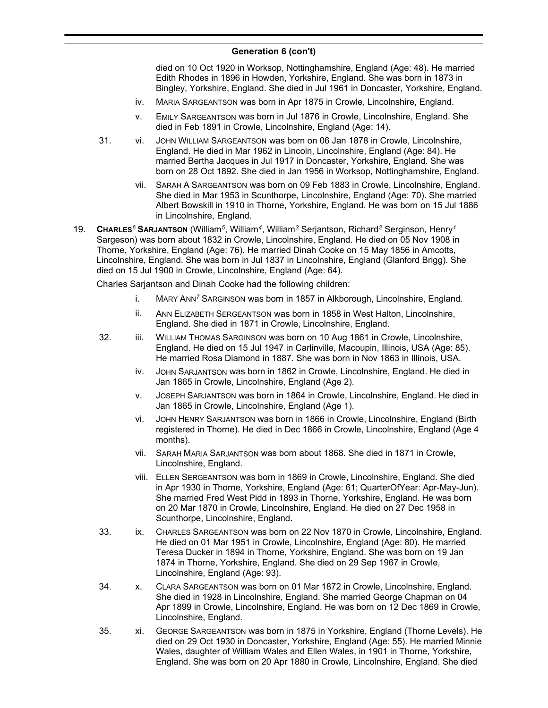died on 10 Oct 1920 in Worksop, Nottinghamshire, England (Age: 48). He married Edith Rhodes in 1896 in Howden, Yorkshire, England. She was born in 1873 in Bingley, Yorkshire, England. She died in Jul 1961 in Doncaster, Yorkshire, England.

- iv. MARIA SARGEANTSON was born in Apr 1875 in Crowle, Lincolnshire, England.
- v. EMILY SARGEANTSON was born in Jul 1876 in Crowle, Lincolnshire, England. She died in Feb 1891 in Crowle, Lincolnshire, England (Age: 14).
- 31. vi. JOHN WILLIAM SARGEANTSON was born on 06 Jan 1878 in Crowle, Lincolnshire, England. He died in Mar 1962 in Lincoln, Lincolnshire, England (Age: 84). He married Bertha Jacques in Jul 1917 in Doncaster, Yorkshire, England. She was born on 28 Oct 1892. She died in Jan 1956 in Worksop, Nottinghamshire, England.
	- vii. SARAH A SARGEANTSON was born on 09 Feb 1883 in Crowle, Lincolnshire, England. She died in Mar 1953 in Scunthorpe, Lincolnshire, England (Age: 70). She married Albert Bowskill in 1910 in Thorne, Yorkshire, England. He was born on 15 Jul 1886 in Lincolnshire, England.
- 19. **CHARLES***<sup>6</sup>* **SARJANTSON** (William*<sup>5</sup>* , William*<sup>4</sup>* , William*<sup>3</sup>* Serjantson, Richard*<sup>2</sup>* Serginson, Henry*<sup>1</sup>* Sargeson) was born about 1832 in Crowle, Lincolnshire, England. He died on 05 Nov 1908 in Thorne, Yorkshire, England (Age: 76). He married Dinah Cooke on 15 May 1856 in Amcotts, Lincolnshire, England. She was born in Jul 1837 in Lincolnshire, England (Glanford Brigg). She died on 15 Jul 1900 in Crowle, Lincolnshire, England (Age: 64).

Charles Sarjantson and Dinah Cooke had the following children:

- i. MARY ANN*<sup>7</sup>* SARGINSON was born in 1857 in Alkborough, Lincolnshire, England.
- ii. ANN ELIZABETH SERGEANTSON was born in 1858 in West Halton, Lincolnshire, England. She died in 1871 in Crowle, Lincolnshire, England.
- 32. iii. WILLIAM THOMAS SARGINSON was born on 10 Aug 1861 in Crowle, Lincolnshire, England. He died on 15 Jul 1947 in Carlinville, Macoupin, Illinois, USA (Age: 85). He married Rosa Diamond in 1887. She was born in Nov 1863 in Illinois, USA.
	- iv. JOHN SARJANTSON was born in 1862 in Crowle, Lincolnshire, England. He died in Jan 1865 in Crowle, Lincolnshire, England (Age 2).
	- v. JOSEPH SARJANTSON was born in 1864 in Crowle, Lincolnshire, England. He died in Jan 1865 in Crowle, Lincolnshire, England (Age 1).
	- vi. JOHN HENRY SARJANTSON was born in 1866 in Crowle, Lincolnshire, England (Birth registered in Thorne). He died in Dec 1866 in Crowle, Lincolnshire, England (Age 4 months).
	- vii. SARAH MARIA SARJANTSON was born about 1868. She died in 1871 in Crowle, Lincolnshire, England.
	- viii. ELLEN SERGEANTSON was born in 1869 in Crowle, Lincolnshire, England. She died in Apr 1930 in Thorne, Yorkshire, England (Age: 61; QuarterOfYear: Apr-May-Jun). She married Fred West Pidd in 1893 in Thorne, Yorkshire, England. He was born on 20 Mar 1870 in Crowle, Lincolnshire, England. He died on 27 Dec 1958 in Scunthorpe, Lincolnshire, England.
- 33. ix. CHARLES SARGEANTSON was born on 22 Nov 1870 in Crowle, Lincolnshire, England. He died on 01 Mar 1951 in Crowle, Lincolnshire, England (Age: 80). He married Teresa Ducker in 1894 in Thorne, Yorkshire, England. She was born on 19 Jan 1874 in Thorne, Yorkshire, England. She died on 29 Sep 1967 in Crowle, Lincolnshire, England (Age: 93).
- 34. x. CLARA SARGEANTSON was born on 01 Mar 1872 in Crowle, Lincolnshire, England. She died in 1928 in Lincolnshire, England. She married George Chapman on 04 Apr 1899 in Crowle, Lincolnshire, England. He was born on 12 Dec 1869 in Crowle, Lincolnshire, England.
- 35. xi. GEORGE SARGEANTSON was born in 1875 in Yorkshire, England (Thorne Levels). He died on 29 Oct 1930 in Doncaster, Yorkshire, England (Age: 55). He married Minnie Wales, daughter of William Wales and Ellen Wales, in 1901 in Thorne, Yorkshire, England. She was born on 20 Apr 1880 in Crowle, Lincolnshire, England. She died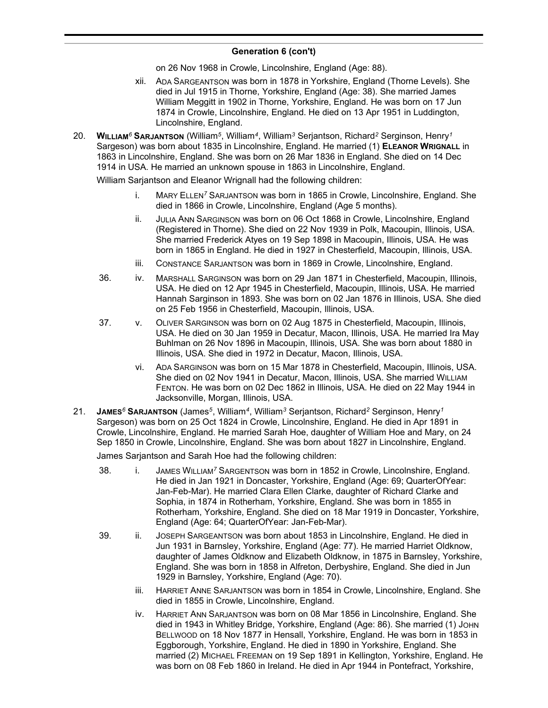on 26 Nov 1968 in Crowle, Lincolnshire, England (Age: 88).

- xii. ADA SARGEANTSON was born in 1878 in Yorkshire, England (Thorne Levels). She died in Jul 1915 in Thorne, Yorkshire, England (Age: 38). She married James William Meggitt in 1902 in Thorne, Yorkshire, England. He was born on 17 Jun 1874 in Crowle, Lincolnshire, England. He died on 13 Apr 1951 in Luddington, Lincolnshire, England.
- 20. **WILLIAM***<sup>6</sup>* **SARJANTSON** (William*<sup>5</sup>* , William*<sup>4</sup>* , William*<sup>3</sup>* Serjantson, Richard*<sup>2</sup>* Serginson, Henry*<sup>1</sup>* Sargeson) was born about 1835 in Lincolnshire, England. He married (1) **ELEANOR WRIGNALL** in 1863 in Lincolnshire, England. She was born on 26 Mar 1836 in England. She died on 14 Dec 1914 in USA. He married an unknown spouse in 1863 in Lincolnshire, England.

William Sarjantson and Eleanor Wrignall had the following children:

- i. MARY ELLEN*<sup>7</sup>* SARJANTSON was born in 1865 in Crowle, Lincolnshire, England. She died in 1866 in Crowle, Lincolnshire, England (Age 5 months).
- ii. JULIA ANN SARGINSON was born on 06 Oct 1868 in Crowle, Lincolnshire, England (Registered in Thorne). She died on 22 Nov 1939 in Polk, Macoupin, Illinois, USA. She married Frederick Atyes on 19 Sep 1898 in Macoupin, Illinois, USA. He was born in 1865 in England. He died in 1927 in Chesterfield, Macoupin, Illinois, USA.
- iii. CONSTANCE SARJANTSON was born in 1869 in Crowle, Lincolnshire, England.
- 36. iv. MARSHALL SARGINSON was born on 29 Jan 1871 in Chesterfield, Macoupin, Illinois, USA. He died on 12 Apr 1945 in Chesterfield, Macoupin, Illinois, USA. He married Hannah Sarginson in 1893. She was born on 02 Jan 1876 in Illinois, USA. She died on 25 Feb 1956 in Chesterfield, Macoupin, Illinois, USA.
- 37. v. OLIVER SARGINSON was born on 02 Aug 1875 in Chesterfield, Macoupin, Illinois, USA. He died on 30 Jan 1959 in Decatur, Macon, Illinois, USA. He married Ira May Buhlman on 26 Nov 1896 in Macoupin, Illinois, USA. She was born about 1880 in Illinois, USA. She died in 1972 in Decatur, Macon, Illinois, USA.
	- vi. ADA SARGINSON was born on 15 Mar 1878 in Chesterfield, Macoupin, Illinois, USA. She died on 02 Nov 1941 in Decatur, Macon, Illinois, USA. She married WILLIAM FENTON. He was born on 02 Dec 1862 in Illinois, USA. He died on 22 May 1944 in Jacksonville, Morgan, Illinois, USA.
- 21. **JAMES***<sup>6</sup>* **SARJANTSON** (James*<sup>5</sup>* , William*<sup>4</sup>* , William*<sup>3</sup>* Serjantson, Richard*<sup>2</sup>* Serginson, Henry*<sup>1</sup>* Sargeson) was born on 25 Oct 1824 in Crowle, Lincolnshire, England. He died in Apr 1891 in Crowle, Lincolnshire, England. He married Sarah Hoe, daughter of William Hoe and Mary, on 24 Sep 1850 in Crowle, Lincolnshire, England. She was born about 1827 in Lincolnshire, England.

James Sarjantson and Sarah Hoe had the following children:

- 38. i. JAMES WILLIAM*<sup>7</sup>* SARGENTSON was born in 1852 in Crowle, Lincolnshire, England. He died in Jan 1921 in Doncaster, Yorkshire, England (Age: 69; QuarterOfYear: Jan-Feb-Mar). He married Clara Ellen Clarke, daughter of Richard Clarke and Sophia, in 1874 in Rotherham, Yorkshire, England. She was born in 1855 in Rotherham, Yorkshire, England. She died on 18 Mar 1919 in Doncaster, Yorkshire, England (Age: 64; QuarterOfYear: Jan-Feb-Mar).
- 39. ii. JOSEPH SARGEANTSON was born about 1853 in Lincolnshire, England. He died in Jun 1931 in Barnsley, Yorkshire, England (Age: 77). He married Harriet Oldknow, daughter of James Oldknow and Elizabeth Oldknow, in 1875 in Barnsley, Yorkshire, England. She was born in 1858 in Alfreton, Derbyshire, England. She died in Jun 1929 in Barnsley, Yorkshire, England (Age: 70).
	- iii. HARRIET ANNE SARJANTSON was born in 1854 in Crowle, Lincolnshire, England. She died in 1855 in Crowle, Lincolnshire, England.
	- iv. HARRIET ANN SARJANTSON was born on 08 Mar 1856 in Lincolnshire, England. She died in 1943 in Whitley Bridge, Yorkshire, England (Age: 86). She married (1) JOHN BELLWOOD on 18 Nov 1877 in Hensall, Yorkshire, England. He was born in 1853 in Eggborough, Yorkshire, England. He died in 1890 in Yorkshire, England. She married (2) MICHAEL FREEMAN on 19 Sep 1891 in Kellington, Yorkshire, England. He was born on 08 Feb 1860 in Ireland. He died in Apr 1944 in Pontefract, Yorkshire,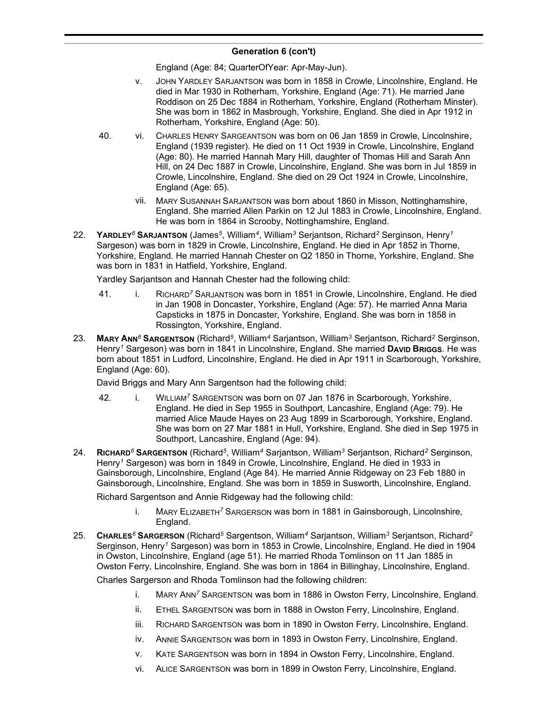#### **Generation 6 (con't)**  $\sum_{i=1}^n$

England (Age: 84; QuarterOfYear: Apr-May-Jun).

- v. JOHN YARDLEY SARJANTSON was born in 1858 in Crowle, Lincolnshire, England. He died in Mar 1930 in Rotherham, Yorkshire, England (Age: 71). He married Jane Roddison on 25 Dec 1884 in Rotherham, Yorkshire, England (Rotherham Minster). She was born in 1862 in Masbrough, Yorkshire, England. She died in Apr 1912 in Rotherham, Yorkshire, England (Age: 50).
- 40. vi. CHARLES HENRY SARGEANTSON was born on 06 Jan 1859 in Crowle, Lincolnshire, England (1939 register). He died on 11 Oct 1939 in Crowle, Lincolnshire, England (Age: 80). He married Hannah Mary Hill, daughter of Thomas Hill and Sarah Ann Hill, on 24 Dec 1887 in Crowle, Lincolnshire, England. She was born in Jul 1859 in Crowle, Lincolnshire, England. She died on 29 Oct 1924 in Crowle, Lincolnshire, England (Age: 65).
	- vii. MARY SUSANNAH SARJANTSON was born about 1860 in Misson, Nottinghamshire, England. She married Allen Parkin on 12 Jul 1883 in Crowle, Lincolnshire, England. He was born in 1864 in Scrooby, Nottinghamshire, England.
- 22. **YARDLEY***<sup>6</sup>* **SARJANTSON** (James*<sup>5</sup>* , William*<sup>4</sup>* , William*<sup>3</sup>* Serjantson, Richard*<sup>2</sup>* Serginson, Henry*<sup>1</sup>* Sargeson) was born in 1829 in Crowle, Lincolnshire, England. He died in Apr 1852 in Thorne, Yorkshire, England. He married Hannah Chester on Q2 1850 in Thorne, Yorkshire, England. She was born in 1831 in Hatfield, Yorkshire, England.

Yardley Sarjantson and Hannah Chester had the following child:

- 41. i. RICHARD*<sup>7</sup>* SARJANTSON was born in 1851 in Crowle, Lincolnshire, England. He died in Jan 1908 in Doncaster, Yorkshire, England (Age: 57). He married Anna Maria Capsticks in 1875 in Doncaster, Yorkshire, England. She was born in 1858 in Rossington, Yorkshire, England.
- 23. **MARY ANN***<sup>6</sup>* **SARGENTSON** (Richard*<sup>5</sup>* , William*<sup>4</sup>* Sarjantson, William*<sup>3</sup>* Serjantson, Richard*<sup>2</sup>* Serginson, Henry*<sup>1</sup>* Sargeson) was born in 1841 in Lincolnshire, England. She married **DAVID BRIGGS**. He was born about 1851 in Ludford, Lincolnshire, England. He died in Apr 1911 in Scarborough, Yorkshire, England (Age: 60).

David Briggs and Mary Ann Sargentson had the following child:

- 42. i. WILLIAM<sup>7</sup> SARGENTSON was born on 07 Jan 1876 in Scarborough, Yorkshire, England. He died in Sep 1955 in Southport, Lancashire, England (Age: 79). He married Alice Maude Hayes on 23 Aug 1899 in Scarborough, Yorkshire, England. She was born on 27 Mar 1881 in Hull, Yorkshire, England. She died in Sep 1975 in Southport, Lancashire, England (Age: 94).
- 24. **RICHARD***<sup>6</sup>* **SARGENTSON** (Richard*<sup>5</sup>* , William*<sup>4</sup>* Sarjantson, William*<sup>3</sup>* Serjantson, Richard*<sup>2</sup>* Serginson, Henry*<sup>1</sup>* Sargeson) was born in 1849 in Crowle, Lincolnshire, England. He died in 1933 in Gainsborough, Lincolnshire, England (Age 84). He married Annie Ridgeway on 23 Feb 1880 in Gainsborough, Lincolnshire, England. She was born in 1859 in Susworth, Lincolnshire, England.

Richard Sargentson and Annie Ridgeway had the following child:

- i. MARY ELIZABETH*<sup>7</sup>* SARGERSON was born in 1881 in Gainsborough, Lincolnshire, England.
- 25. **CHARLES***<sup>6</sup>* **SARGERSON** (Richard*<sup>5</sup>* Sargentson, William*<sup>4</sup>* Sarjantson, William*<sup>3</sup>* Serjantson, Richard*<sup>2</sup>* Serginson, Henry*<sup>1</sup>* Sargeson) was born in 1853 in Crowle, Lincolnshire, England. He died in 1904 in Owston, Lincolnshire, England (age 51). He married Rhoda Tomlinson on 11 Jan 1885 in Owston Ferry, Lincolnshire, England. She was born in 1864 in Billinghay, Lincolnshire, England.

Charles Sargerson and Rhoda Tomlinson had the following children:

- i. MARY ANN*<sup>7</sup>* SARGENTSON was born in 1886 in Owston Ferry, Lincolnshire, England.
- ii. ETHEL SARGENTSON was born in 1888 in Owston Ferry, Lincolnshire, England.
- iii. RICHARD SARGENTSON was born in 1890 in Owston Ferry, Lincolnshire, England.
- iv. ANNIE SARGENTSON was born in 1893 in Owston Ferry, Lincolnshire, England.
- v. KATE SARGENTSON was born in 1894 in Owston Ferry, Lincolnshire, England.
- vi. ALICE SARGENTSON was born in 1899 in Owston Ferry, Lincolnshire, England.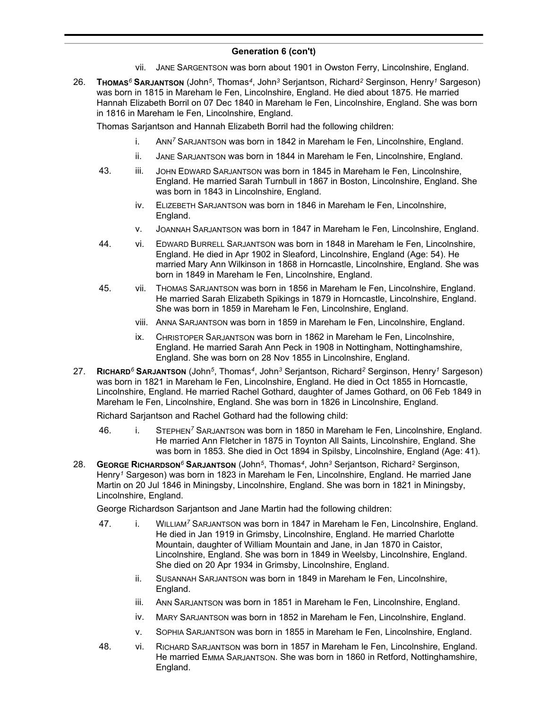- vii. JANE SARGENTSON was born about 1901 in Owston Ferry, Lincolnshire, England.
- 26. **THOMAS***<sup>6</sup>* **SARJANTSON** (John*<sup>5</sup>* , Thomas*<sup>4</sup>* , John*<sup>3</sup>* Serjantson, Richard*<sup>2</sup>* Serginson, Henry*<sup>1</sup>* Sargeson) was born in 1815 in Mareham le Fen, Lincolnshire, England. He died about 1875. He married Hannah Elizabeth Borril on 07 Dec 1840 in Mareham le Fen, Lincolnshire, England. She was born in 1816 in Mareham le Fen, Lincolnshire, England.

Thomas Sarjantson and Hannah Elizabeth Borril had the following children:

- i. ANN*<sup>7</sup>* SARJANTSON was born in 1842 in Mareham le Fen, Lincolnshire, England.
- ii. JANE SARJANTSON was born in 1844 in Mareham le Fen, Lincolnshire, England.
- 43. iii. JOHN EDWARD SARJANTSON was born in 1845 in Mareham le Fen, Lincolnshire, England. He married Sarah Turnbull in 1867 in Boston, Lincolnshire, England. She was born in 1843 in Lincolnshire, England.
	- iv. ELIZEBETH SARJANTSON was born in 1846 in Mareham le Fen, Lincolnshire, England.
	- v. JOANNAH SARJANTSON was born in 1847 in Mareham le Fen, Lincolnshire, England.
- 44. vi. EDWARD BURRELL SARJANTSON was born in 1848 in Mareham le Fen, Lincolnshire, England. He died in Apr 1902 in Sleaford, Lincolnshire, England (Age: 54). He married Mary Ann Wilkinson in 1868 in Horncastle, Lincolnshire, England. She was born in 1849 in Mareham le Fen, Lincolnshire, England.
- 45. vii. THOMAS SARJANTSON was born in 1856 in Mareham le Fen, Lincolnshire, England. He married Sarah Elizabeth Spikings in 1879 in Horncastle, Lincolnshire, England. She was born in 1859 in Mareham le Fen, Lincolnshire, England.
	- viii. ANNA SARJANTSON was born in 1859 in Mareham le Fen, Lincolnshire, England.
	- ix. CHRISTOPER SARJANTSON was born in 1862 in Mareham le Fen, Lincolnshire, England. He married Sarah Ann Peck in 1908 in Nottingham, Nottinghamshire, England. She was born on 28 Nov 1855 in Lincolnshire, England.
- 27. **RICHARD***<sup>6</sup>* **SARJANTSON** (John*<sup>5</sup>* , Thomas*<sup>4</sup>* , John*<sup>3</sup>* Serjantson, Richard*<sup>2</sup>* Serginson, Henry*<sup>1</sup>* Sargeson) was born in 1821 in Mareham le Fen, Lincolnshire, England. He died in Oct 1855 in Horncastle, Lincolnshire, England. He married Rachel Gothard, daughter of James Gothard, on 06 Feb 1849 in Mareham le Fen, Lincolnshire, England. She was born in 1826 in Lincolnshire, England.

Richard Sarjantson and Rachel Gothard had the following child:

- 46. i. STEPHEN*<sup>7</sup>* SARJANTSON was born in 1850 in Mareham le Fen, Lincolnshire, England. He married Ann Fletcher in 1875 in Toynton All Saints, Lincolnshire, England. She was born in 1853. She died in Oct 1894 in Spilsby, Lincolnshire, England (Age: 41).
- 28. **GEORGE RICHARDSON***<sup>6</sup>* **SARJANTSON** (John*<sup>5</sup>* , Thomas*<sup>4</sup>* , John*<sup>3</sup>* Serjantson, Richard*<sup>2</sup>* Serginson, Henry*<sup>1</sup>* Sargeson) was born in 1823 in Mareham le Fen, Lincolnshire, England. He married Jane Martin on 20 Jul 1846 in Miningsby, Lincolnshire, England. She was born in 1821 in Miningsby, Lincolnshire, England.

George Richardson Sarjantson and Jane Martin had the following children:

- 47. i. WILLIAM<sup>7</sup> SARJANTSON was born in 1847 in Mareham le Fen, Lincolnshire, England. He died in Jan 1919 in Grimsby, Lincolnshire, England. He married Charlotte Mountain, daughter of William Mountain and Jane, in Jan 1870 in Caistor, Lincolnshire, England. She was born in 1849 in Weelsby, Lincolnshire, England. She died on 20 Apr 1934 in Grimsby, Lincolnshire, England.
	- ii. SUSANNAH SARJANTSON was born in 1849 in Mareham le Fen, Lincolnshire, England.
	- iii. ANN SARJANTSON was born in 1851 in Mareham le Fen, Lincolnshire, England.
	- iv. MARY SARJANTSON was born in 1852 in Mareham le Fen, Lincolnshire, England.
	- v. SOPHIA SARJANTSON was born in 1855 in Mareham le Fen, Lincolnshire, England.
- 48. vi. RICHARD SARJANTSON was born in 1857 in Mareham le Fen, Lincolnshire, England. He married EMMA SARJANTSON. She was born in 1860 in Retford, Nottinghamshire, England.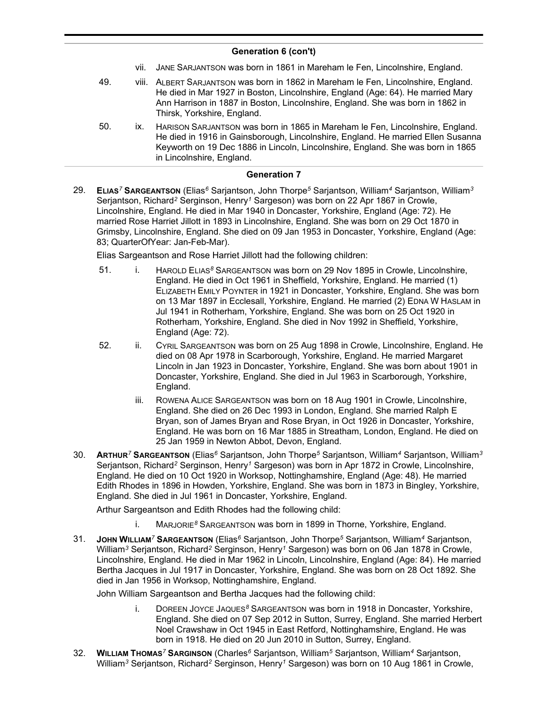- vii. JANE SARJANTSON was born in 1861 in Mareham le Fen, Lincolnshire, England.
- 49. viii. ALBERT SARJANTSON was born in 1862 in Mareham le Fen, Lincolnshire, England. He died in Mar 1927 in Boston, Lincolnshire, England (Age: 64). He married Mary Ann Harrison in 1887 in Boston, Lincolnshire, England. She was born in 1862 in Thirsk, Yorkshire, England.
- 50. ix. HARISON SARJANTSON was born in 1865 in Mareham le Fen, Lincolnshire, England. He died in 1916 in Gainsborough, Lincolnshire, England. He married Ellen Susanna Keyworth on 19 Dec 1886 in Lincoln, Lincolnshire, England. She was born in 1865 in Lincolnshire, England.

#### **Generation 7**

29. **ELIAS***<sup>7</sup>* **SARGEANTSON** (Elias*<sup>6</sup>* Sarjantson, John Thorpe*<sup>5</sup>* Sarjantson, William*<sup>4</sup>* Sarjantson, William*<sup>3</sup>* Serjantson, Richard*<sup>2</sup>* Serginson, Henry*<sup>1</sup>* Sargeson) was born on 22 Apr 1867 in Crowle, Lincolnshire, England. He died in Mar 1940 in Doncaster, Yorkshire, England (Age: 72). He married Rose Harriet Jillott in 1893 in Lincolnshire, England. She was born on 29 Oct 1870 in Grimsby, Lincolnshire, England. She died on 09 Jan 1953 in Doncaster, Yorkshire, England (Age: 83; QuarterOfYear: Jan-Feb-Mar).

Elias Sargeantson and Rose Harriet Jillott had the following children:

- 51. i. HAROLD ELIAS*<sup>8</sup>* SARGEANTSON was born on 29 Nov 1895 in Crowle, Lincolnshire, England. He died in Oct 1961 in Sheffield, Yorkshire, England. He married (1) ELIZABETH EMILY POYNTER in 1921 in Doncaster, Yorkshire, England. She was born on 13 Mar 1897 in Ecclesall, Yorkshire, England. He married (2) EDNA W HASLAM in Jul 1941 in Rotherham, Yorkshire, England. She was born on 25 Oct 1920 in Rotherham, Yorkshire, England. She died in Nov 1992 in Sheffield, Yorkshire, England (Age: 72).
- 52. ii. CYRIL SARGEANTSON was born on 25 Aug 1898 in Crowle, Lincolnshire, England. He died on 08 Apr 1978 in Scarborough, Yorkshire, England. He married Margaret Lincoln in Jan 1923 in Doncaster, Yorkshire, England. She was born about 1901 in Doncaster, Yorkshire, England. She died in Jul 1963 in Scarborough, Yorkshire, England.
	- iii. ROWENA ALICE SARGEANTSON was born on 18 Aug 1901 in Crowle, Lincolnshire, England. She died on 26 Dec 1993 in London, England. She married Ralph E Bryan, son of James Bryan and Rose Bryan, in Oct 1926 in Doncaster, Yorkshire, England. He was born on 16 Mar 1885 in Streatham, London, England. He died on 25 Jan 1959 in Newton Abbot, Devon, England.
- 30. **ARTHUR***<sup>7</sup>* **SARGEANTSON** (Elias*<sup>6</sup>* Sarjantson, John Thorpe*<sup>5</sup>* Sarjantson, William*<sup>4</sup>* Sarjantson, William*<sup>3</sup>* Serjantson, Richard*<sup>2</sup>* Serginson, Henry*<sup>1</sup>* Sargeson) was born in Apr 1872 in Crowle, Lincolnshire, England. He died on 10 Oct 1920 in Worksop, Nottinghamshire, England (Age: 48). He married Edith Rhodes in 1896 in Howden, Yorkshire, England. She was born in 1873 in Bingley, Yorkshire, England. She died in Jul 1961 in Doncaster, Yorkshire, England.

Arthur Sargeantson and Edith Rhodes had the following child:

- i. MARJORIE*<sup>8</sup>* SARGEANTSON was born in 1899 in Thorne, Yorkshire, England.
- 31. **JOHN WILLIAM***<sup>7</sup>* **SARGEANTSON** (Elias*<sup>6</sup>* Sarjantson, John Thorpe*<sup>5</sup>* Sarjantson, William*<sup>4</sup>* Sarjantson, William*<sup>3</sup>* Serjantson, Richard*<sup>2</sup>* Serginson, Henry*<sup>1</sup>* Sargeson) was born on 06 Jan 1878 in Crowle, Lincolnshire, England. He died in Mar 1962 in Lincoln, Lincolnshire, England (Age: 84). He married Bertha Jacques in Jul 1917 in Doncaster, Yorkshire, England. She was born on 28 Oct 1892. She died in Jan 1956 in Worksop, Nottinghamshire, England.

John William Sargeantson and Bertha Jacques had the following child:

- i. DOREEN JOYCE JAQUES*<sup>8</sup>* SARGEANTSON was born in 1918 in Doncaster, Yorkshire, England. She died on 07 Sep 2012 in Sutton, Surrey, England. She married Herbert Noel Crawshaw in Oct 1945 in East Retford, Nottinghamshire, England. He was born in 1918. He died on 20 Jun 2010 in Sutton, Surrey, England.
- 32. **WILLIAM THOMAS***<sup>7</sup>* **SARGINSON** (Charles*<sup>6</sup>* Sarjantson, William*<sup>5</sup>* Sarjantson, William*<sup>4</sup>* Sarjantson, William*<sup>3</sup>* Serjantson, Richard*<sup>2</sup>* Serginson, Henry*<sup>1</sup>* Sargeson) was born on 10 Aug 1861 in Crowle,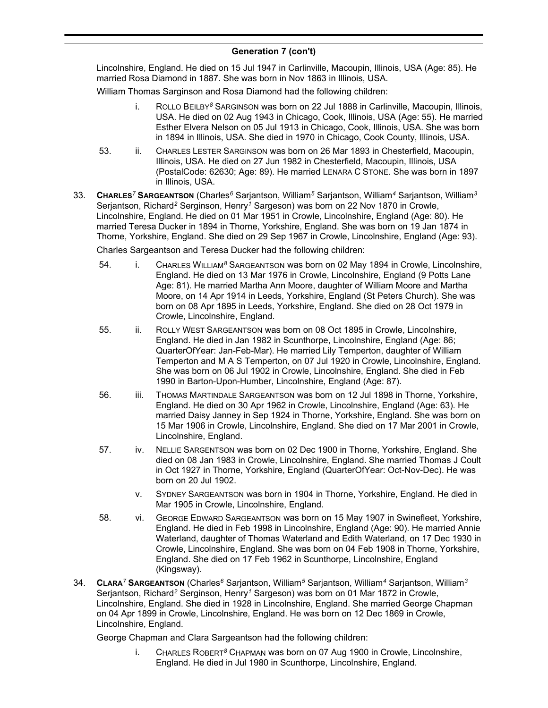Lincolnshire, England. He died on 15 Jul 1947 in Carlinville, Macoupin, Illinois, USA (Age: 85). He married Rosa Diamond in 1887. She was born in Nov 1863 in Illinois, USA.

William Thomas Sarginson and Rosa Diamond had the following children:

- i. ROLLO BEILBY*<sup>8</sup>* SARGINSON was born on 22 Jul 1888 in Carlinville, Macoupin, Illinois, USA. He died on 02 Aug 1943 in Chicago, Cook, Illinois, USA (Age: 55). He married Esther Elvera Nelson on 05 Jul 1913 in Chicago, Cook, Illinois, USA. She was born in 1894 in Illinois, USA. She died in 1970 in Chicago, Cook County, Illinois, USA.
- 53. ii. CHARLES LESTER SARGINSON was born on 26 Mar 1893 in Chesterfield, Macoupin, Illinois, USA. He died on 27 Jun 1982 in Chesterfield, Macoupin, Illinois, USA (PostalCode: 62630; Age: 89). He married LENARA C STONE. She was born in 1897 in Illinois, USA.
- 33. **CHARLES***<sup>7</sup>* **SARGEANTSON** (Charles*<sup>6</sup>* Sarjantson, William*<sup>5</sup>* Sarjantson, William*<sup>4</sup>* Sarjantson, William*<sup>3</sup>* Serjantson, Richard*<sup>2</sup>* Serginson, Henry*<sup>1</sup>* Sargeson) was born on 22 Nov 1870 in Crowle, Lincolnshire, England. He died on 01 Mar 1951 in Crowle, Lincolnshire, England (Age: 80). He married Teresa Ducker in 1894 in Thorne, Yorkshire, England. She was born on 19 Jan 1874 in Thorne, Yorkshire, England. She died on 29 Sep 1967 in Crowle, Lincolnshire, England (Age: 93).

Charles Sargeantson and Teresa Ducker had the following children:

- 54. i. CHARLES WILLIAM<sup>8</sup> SARGEANTSON was born on 02 May 1894 in Crowle, Lincolnshire, England. He died on 13 Mar 1976 in Crowle, Lincolnshire, England (9 Potts Lane Age: 81). He married Martha Ann Moore, daughter of William Moore and Martha Moore, on 14 Apr 1914 in Leeds, Yorkshire, England (St Peters Church). She was born on 08 Apr 1895 in Leeds, Yorkshire, England. She died on 28 Oct 1979 in Crowle, Lincolnshire, England.
- 55. ii. ROLLY WEST SARGEANTSON was born on 08 Oct 1895 in Crowle, Lincolnshire, England. He died in Jan 1982 in Scunthorpe, Lincolnshire, England (Age: 86; QuarterOfYear: Jan-Feb-Mar). He married Lily Temperton, daughter of William Temperton and M A S Temperton, on 07 Jul 1920 in Crowle, Lincolnshire, England. She was born on 06 Jul 1902 in Crowle, Lincolnshire, England. She died in Feb 1990 in Barton-Upon-Humber, Lincolnshire, England (Age: 87).
- 56. iii. THOMAS MARTINDALE SARGEANTSON was born on 12 Jul 1898 in Thorne, Yorkshire, England. He died on 30 Apr 1962 in Crowle, Lincolnshire, England (Age: 63). He married Daisy Janney in Sep 1924 in Thorne, Yorkshire, England. She was born on 15 Mar 1906 in Crowle, Lincolnshire, England. She died on 17 Mar 2001 in Crowle, Lincolnshire, England.
- 57. iv. NELLIE SARGENTSON was born on 02 Dec 1900 in Thorne, Yorkshire, England. She died on 08 Jan 1983 in Crowle, Lincolnshire, England. She married Thomas J Coult in Oct 1927 in Thorne, Yorkshire, England (QuarterOfYear: Oct-Nov-Dec). He was born on 20 Jul 1902.
	- v. SYDNEY SARGEANTSON was born in 1904 in Thorne, Yorkshire, England. He died in Mar 1905 in Crowle, Lincolnshire, England.
- 58. vi. GEORGE EDWARD SARGEANTSON was born on 15 May 1907 in Swinefleet, Yorkshire, England. He died in Feb 1998 in Lincolnshire, England (Age: 90). He married Annie Waterland, daughter of Thomas Waterland and Edith Waterland, on 17 Dec 1930 in Crowle, Lincolnshire, England. She was born on 04 Feb 1908 in Thorne, Yorkshire, England. She died on 17 Feb 1962 in Scunthorpe, Lincolnshire, England (Kingsway).
- 34. **CLARA***<sup>7</sup>* **SARGEANTSON** (Charles*<sup>6</sup>* Sarjantson, William*<sup>5</sup>* Sarjantson, William*<sup>4</sup>* Sarjantson, William*<sup>3</sup>* Serjantson, Richard*<sup>2</sup>* Serginson, Henry*<sup>1</sup>* Sargeson) was born on 01 Mar 1872 in Crowle, Lincolnshire, England. She died in 1928 in Lincolnshire, England. She married George Chapman on 04 Apr 1899 in Crowle, Lincolnshire, England. He was born on 12 Dec 1869 in Crowle, Lincolnshire, England.

George Chapman and Clara Sargeantson had the following children:

i. CHARLES ROBERT*<sup>8</sup>* CHAPMAN was born on 07 Aug 1900 in Crowle, Lincolnshire, England. He died in Jul 1980 in Scunthorpe, Lincolnshire, England.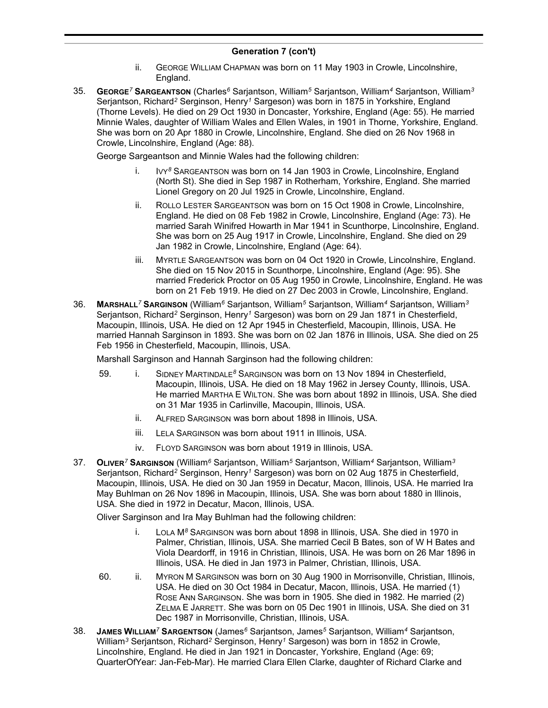- ii. GEORGE WILLIAM CHAPMAN was born on 11 May 1903 in Crowle, Lincolnshire, England.
- 35. **GEORGE***<sup>7</sup>* **SARGEANTSON** (Charles*<sup>6</sup>* Sarjantson, William*<sup>5</sup>* Sarjantson, William*<sup>4</sup>* Sarjantson, William*<sup>3</sup>* Serjantson, Richard*<sup>2</sup>* Serginson, Henry*<sup>1</sup>* Sargeson) was born in 1875 in Yorkshire, England (Thorne Levels). He died on 29 Oct 1930 in Doncaster, Yorkshire, England (Age: 55). He married Minnie Wales, daughter of William Wales and Ellen Wales, in 1901 in Thorne, Yorkshire, England. She was born on 20 Apr 1880 in Crowle, Lincolnshire, England. She died on 26 Nov 1968 in Crowle, Lincolnshire, England (Age: 88).

George Sargeantson and Minnie Wales had the following children:

- i. IVY*<sup>8</sup>* SARGEANTSON was born on 14 Jan 1903 in Crowle, Lincolnshire, England (North St). She died in Sep 1987 in Rotherham, Yorkshire, England. She married Lionel Gregory on 20 Jul 1925 in Crowle, Lincolnshire, England.
- ii. ROLLO LESTER SARGEANTSON was born on 15 Oct 1908 in Crowle, Lincolnshire, England. He died on 08 Feb 1982 in Crowle, Lincolnshire, England (Age: 73). He married Sarah Winifred Howarth in Mar 1941 in Scunthorpe, Lincolnshire, England. She was born on 25 Aug 1917 in Crowle, Lincolnshire, England. She died on 29 Jan 1982 in Crowle, Lincolnshire, England (Age: 64).
- iii. MYRTLE SARGEANTSON was born on 04 Oct 1920 in Crowle, Lincolnshire, England. She died on 15 Nov 2015 in Scunthorpe, Lincolnshire, England (Age: 95). She married Frederick Proctor on 05 Aug 1950 in Crowle, Lincolnshire, England. He was born on 21 Feb 1919. He died on 27 Dec 2003 in Crowle, Lincolnshire, England.
- 36. **MARSHALL***<sup>7</sup>* **SARGINSON** (William*<sup>6</sup>* Sarjantson, William*<sup>5</sup>* Sarjantson, William*<sup>4</sup>* Sarjantson, William*<sup>3</sup>* Serjantson, Richard*<sup>2</sup>* Serginson, Henry*<sup>1</sup>* Sargeson) was born on 29 Jan 1871 in Chesterfield, Macoupin, Illinois, USA. He died on 12 Apr 1945 in Chesterfield, Macoupin, Illinois, USA. He married Hannah Sarginson in 1893. She was born on 02 Jan 1876 in Illinois, USA. She died on 25 Feb 1956 in Chesterfield, Macoupin, Illinois, USA.

Marshall Sarginson and Hannah Sarginson had the following children:

- 59. i. SIDNEY MARTINDALE*<sup>8</sup>* SARGINSON was born on 13 Nov 1894 in Chesterfield, Macoupin, Illinois, USA. He died on 18 May 1962 in Jersey County, Illinois, USA. He married MARTHA E WILTON. She was born about 1892 in Illinois, USA. She died on 31 Mar 1935 in Carlinville, Macoupin, Illinois, USA.
	- ii. ALFRED SARGINSON was born about 1898 in Illinois, USA.
	- iii. LELA SARGINSON was born about 1911 in Illinois, USA.
	- iv. FLOYD SARGINSON was born about 1919 in Illinois, USA.
- 37. **OLIVER***<sup>7</sup>* **SARGINSON** (William*<sup>6</sup>* Sarjantson, William*<sup>5</sup>* Sarjantson, William*<sup>4</sup>* Sarjantson, William*<sup>3</sup>* Serjantson, Richard*<sup>2</sup>* Serginson, Henry*<sup>1</sup>* Sargeson) was born on 02 Aug 1875 in Chesterfield, Macoupin, Illinois, USA. He died on 30 Jan 1959 in Decatur, Macon, Illinois, USA. He married Ira May Buhlman on 26 Nov 1896 in Macoupin, Illinois, USA. She was born about 1880 in Illinois, USA. She died in 1972 in Decatur, Macon, Illinois, USA.

Oliver Sarginson and Ira May Buhlman had the following children:

- i. LOLA M*<sup>8</sup>* SARGINSON was born about 1898 in Illinois, USA. She died in 1970 in Palmer, Christian, Illinois, USA. She married Cecil B Bates, son of W H Bates and Viola Deardorff, in 1916 in Christian, Illinois, USA. He was born on 26 Mar 1896 in Illinois, USA. He died in Jan 1973 in Palmer, Christian, Illinois, USA.
- 60. ii. MYRON M SARGINSON was born on 30 Aug 1900 in Morrisonville, Christian, Illinois, USA. He died on 30 Oct 1984 in Decatur, Macon, Illinois, USA. He married (1) ROSE ANN SARGINSON. She was born in 1905. She died in 1982. He married (2) ZELMA E JARRETT. She was born on 05 Dec 1901 in Illinois, USA. She died on 31 Dec 1987 in Morrisonville, Christian, Illinois, USA.
- 38. **JAMES WILLIAM***<sup>7</sup>* **SARGENTSON** (James*<sup>6</sup>* Sarjantson, James*<sup>5</sup>* Sarjantson, William*<sup>4</sup>* Sarjantson, William*<sup>3</sup>* Serjantson, Richard*<sup>2</sup>* Serginson, Henry*<sup>1</sup>* Sargeson) was born in 1852 in Crowle, Lincolnshire, England. He died in Jan 1921 in Doncaster, Yorkshire, England (Age: 69; QuarterOfYear: Jan-Feb-Mar). He married Clara Ellen Clarke, daughter of Richard Clarke and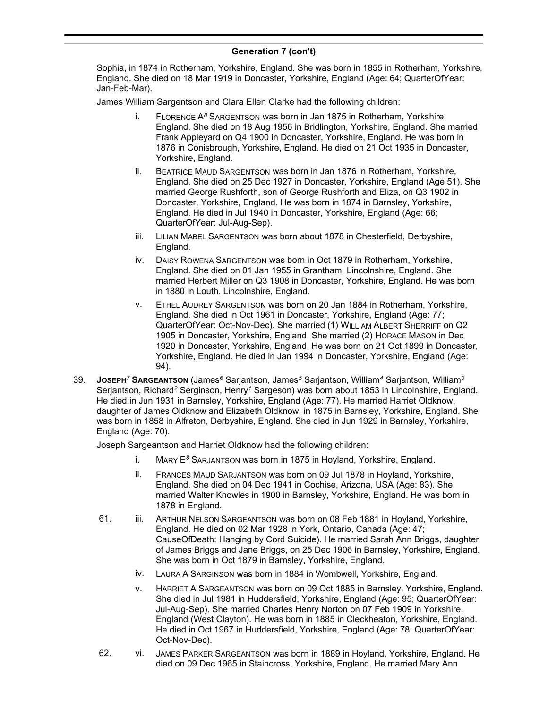Sophia, in 1874 in Rotherham, Yorkshire, England. She was born in 1855 in Rotherham, Yorkshire, England. She died on 18 Mar 1919 in Doncaster, Yorkshire, England (Age: 64; QuarterOfYear: Jan-Feb-Mar).

James William Sargentson and Clara Ellen Clarke had the following children:

- i. FLORENCE A*<sup>8</sup>* SARGENTSON was born in Jan 1875 in Rotherham, Yorkshire, England. She died on 18 Aug 1956 in Bridlington, Yorkshire, England. She married Frank Appleyard on Q4 1900 in Doncaster, Yorkshire, England. He was born in 1876 in Conisbrough, Yorkshire, England. He died on 21 Oct 1935 in Doncaster, Yorkshire, England.
- ii. BEATRICE MAUD SARGENTSON was born in Jan 1876 in Rotherham, Yorkshire, England. She died on 25 Dec 1927 in Doncaster, Yorkshire, England (Age 51). She married George Rushforth, son of George Rushforth and Eliza, on Q3 1902 in Doncaster, Yorkshire, England. He was born in 1874 in Barnsley, Yorkshire, England. He died in Jul 1940 in Doncaster, Yorkshire, England (Age: 66; QuarterOfYear: Jul-Aug-Sep).
- iii. LILIAN MABEL SARGENTSON was born about 1878 in Chesterfield, Derbyshire, England.
- iv. DAISY ROWENA SARGENTSON was born in Oct 1879 in Rotherham, Yorkshire, England. She died on 01 Jan 1955 in Grantham, Lincolnshire, England. She married Herbert Miller on Q3 1908 in Doncaster, Yorkshire, England. He was born in 1880 in Louth, Lincolnshire, England.
- v. ETHEL AUDREY SARGENTSON was born on 20 Jan 1884 in Rotherham, Yorkshire, England. She died in Oct 1961 in Doncaster, Yorkshire, England (Age: 77; QuarterOfYear: Oct-Nov-Dec). She married (1) WILLIAM ALBERT SHERRIFF on Q2 1905 in Doncaster, Yorkshire, England. She married (2) HORACE MASON in Dec 1920 in Doncaster, Yorkshire, England. He was born on 21 Oct 1899 in Doncaster, Yorkshire, England. He died in Jan 1994 in Doncaster, Yorkshire, England (Age: 94).
- 39. **JOSEPH***<sup>7</sup>* **SARGEANTSON** (James*<sup>6</sup>* Sarjantson, James*<sup>5</sup>* Sarjantson, William*<sup>4</sup>* Sarjantson, William*<sup>3</sup>* Serjantson, Richard*<sup>2</sup>* Serginson, Henry*<sup>1</sup>* Sargeson) was born about 1853 in Lincolnshire, England. He died in Jun 1931 in Barnsley, Yorkshire, England (Age: 77). He married Harriet Oldknow, daughter of James Oldknow and Elizabeth Oldknow, in 1875 in Barnsley, Yorkshire, England. She was born in 1858 in Alfreton, Derbyshire, England. She died in Jun 1929 in Barnsley, Yorkshire, England (Age: 70).

Joseph Sargeantson and Harriet Oldknow had the following children:

- i. MARY E*<sup>8</sup>* SARJANTSON was born in 1875 in Hoyland, Yorkshire, England.
- ii. FRANCES MAUD SARJANTSON was born on 09 Jul 1878 in Hoyland, Yorkshire, England. She died on 04 Dec 1941 in Cochise, Arizona, USA (Age: 83). She married Walter Knowles in 1900 in Barnsley, Yorkshire, England. He was born in 1878 in England.
- 61. iii. ARTHUR NELSON SARGEANTSON was born on 08 Feb 1881 in Hoyland, Yorkshire, England. He died on 02 Mar 1928 in York, Ontario, Canada (Age: 47; CauseOfDeath: Hanging by Cord Suicide). He married Sarah Ann Briggs, daughter of James Briggs and Jane Briggs, on 25 Dec 1906 in Barnsley, Yorkshire, England. She was born in Oct 1879 in Barnsley, Yorkshire, England.
	- iv. LAURA A SARGINSON was born in 1884 in Wombwell, Yorkshire, England.
	- v. HARRIET A SARGEANTSON was born on 09 Oct 1885 in Barnsley, Yorkshire, England. She died in Jul 1981 in Huddersfield, Yorkshire, England (Age: 95; QuarterOfYear: Jul-Aug-Sep). She married Charles Henry Norton on 07 Feb 1909 in Yorkshire, England (West Clayton). He was born in 1885 in Cleckheaton, Yorkshire, England. He died in Oct 1967 in Huddersfield, Yorkshire, England (Age: 78; QuarterOfYear: Oct-Nov-Dec).
- 62. vi. JAMES PARKER SARGEANTSON was born in 1889 in Hoyland, Yorkshire, England. He died on 09 Dec 1965 in Staincross, Yorkshire, England. He married Mary Ann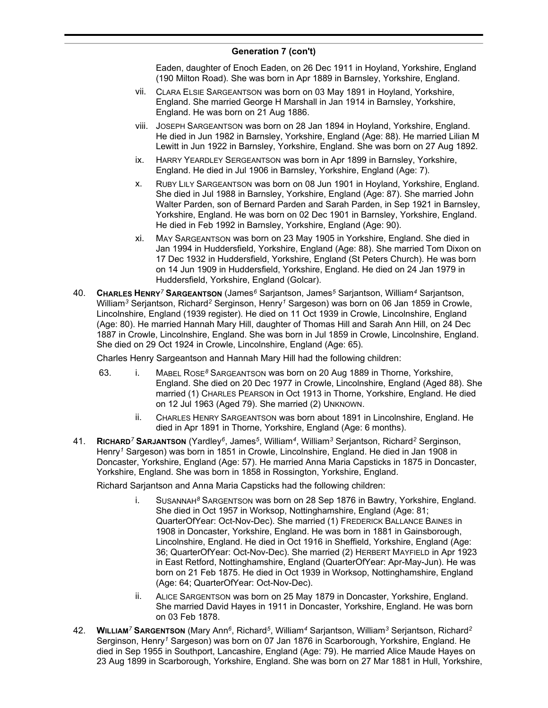Eaden, daughter of Enoch Eaden, on 26 Dec 1911 in Hoyland, Yorkshire, England (190 Milton Road). She was born in Apr 1889 in Barnsley, Yorkshire, England.

- vii. CLARA ELSIE SARGEANTSON was born on 03 May 1891 in Hoyland, Yorkshire, England. She married George H Marshall in Jan 1914 in Barnsley, Yorkshire, England. He was born on 21 Aug 1886.
- viii. JOSEPH SARGEANTSON was born on 28 Jan 1894 in Hoyland, Yorkshire, England. He died in Jun 1982 in Barnsley, Yorkshire, England (Age: 88). He married Lilian M Lewitt in Jun 1922 in Barnsley, Yorkshire, England. She was born on 27 Aug 1892.
- ix. HARRY YEARDLEY SERGEANTSON was born in Apr 1899 in Barnsley, Yorkshire, England. He died in Jul 1906 in Barnsley, Yorkshire, England (Age: 7).
- x. RUBY LILY SARGEANTSON was born on 08 Jun 1901 in Hoyland, Yorkshire, England. She died in Jul 1988 in Barnsley, Yorkshire, England (Age: 87). She married John Walter Parden, son of Bernard Parden and Sarah Parden, in Sep 1921 in Barnsley, Yorkshire, England. He was born on 02 Dec 1901 in Barnsley, Yorkshire, England. He died in Feb 1992 in Barnsley, Yorkshire, England (Age: 90).
- xi. MAY SARGEANTSON was born on 23 May 1905 in Yorkshire, England. She died in Jan 1994 in Huddersfield, Yorkshire, England (Age: 88). She married Tom Dixon on 17 Dec 1932 in Huddersfield, Yorkshire, England (St Peters Church). He was born on 14 Jun 1909 in Huddersfield, Yorkshire, England. He died on 24 Jan 1979 in Huddersfield, Yorkshire, England (Golcar).
- 40. **CHARLES HENRY***<sup>7</sup>* **SARGEANTSON** (James*<sup>6</sup>* Sarjantson, James*<sup>5</sup>* Sarjantson, William*<sup>4</sup>* Sarjantson, William*<sup>3</sup>* Serjantson, Richard*<sup>2</sup>* Serginson, Henry*<sup>1</sup>* Sargeson) was born on 06 Jan 1859 in Crowle, Lincolnshire, England (1939 register). He died on 11 Oct 1939 in Crowle, Lincolnshire, England (Age: 80). He married Hannah Mary Hill, daughter of Thomas Hill and Sarah Ann Hill, on 24 Dec 1887 in Crowle, Lincolnshire, England. She was born in Jul 1859 in Crowle, Lincolnshire, England. She died on 29 Oct 1924 in Crowle, Lincolnshire, England (Age: 65).

Charles Henry Sargeantson and Hannah Mary Hill had the following children:

- 63. i. MABEL ROSE*<sup>8</sup>* SARGEANTSON was born on 20 Aug 1889 in Thorne, Yorkshire, England. She died on 20 Dec 1977 in Crowle, Lincolnshire, England (Aged 88). She married (1) CHARLES PEARSON in Oct 1913 in Thorne, Yorkshire, England. He died on 12 Jul 1963 (Aged 79). She married (2) UNKNOWN.
	- ii. CHARLES HENRY SARGEANTSON was born about 1891 in Lincolnshire, England. He died in Apr 1891 in Thorne, Yorkshire, England (Age: 6 months).
- 41. **RICHARD***<sup>7</sup>* **SARJANTSON** (Yardley*<sup>6</sup>* , James*<sup>5</sup>* , William*<sup>4</sup>* , William*<sup>3</sup>* Serjantson, Richard*<sup>2</sup>* Serginson, Henry*<sup>1</sup>* Sargeson) was born in 1851 in Crowle, Lincolnshire, England. He died in Jan 1908 in Doncaster, Yorkshire, England (Age: 57). He married Anna Maria Capsticks in 1875 in Doncaster, Yorkshire, England. She was born in 1858 in Rossington, Yorkshire, England.

Richard Sarjantson and Anna Maria Capsticks had the following children:

- i. SUSANNAH*<sup>8</sup>* SARGENTSON was born on 28 Sep 1876 in Bawtry, Yorkshire, England. She died in Oct 1957 in Worksop, Nottinghamshire, England (Age: 81; QuarterOfYear: Oct-Nov-Dec). She married (1) FREDERICK BALLANCE BAINES in 1908 in Doncaster, Yorkshire, England. He was born in 1881 in Gainsborough, Lincolnshire, England. He died in Oct 1916 in Sheffield, Yorkshire, England (Age: 36; QuarterOfYear: Oct-Nov-Dec). She married (2) HERBERT MAYFIELD in Apr 1923 in East Retford, Nottinghamshire, England (QuarterOfYear: Apr-May-Jun). He was born on 21 Feb 1875. He died in Oct 1939 in Worksop, Nottinghamshire, England (Age: 64; QuarterOfYear: Oct-Nov-Dec).
- ii. ALICE SARGENTSON was born on 25 May 1879 in Doncaster, Yorkshire, England. She married David Hayes in 1911 in Doncaster, Yorkshire, England. He was born on 03 Feb 1878.
- 42. **WILLIAM***<sup>7</sup>* **SARGENTSON** (Mary Ann*<sup>6</sup>* , Richard*<sup>5</sup>* , William*<sup>4</sup>* Sarjantson, William*<sup>3</sup>* Serjantson, Richard*<sup>2</sup>* Serginson, Henry*<sup>1</sup>* Sargeson) was born on 07 Jan 1876 in Scarborough, Yorkshire, England. He died in Sep 1955 in Southport, Lancashire, England (Age: 79). He married Alice Maude Hayes on 23 Aug 1899 in Scarborough, Yorkshire, England. She was born on 27 Mar 1881 in Hull, Yorkshire,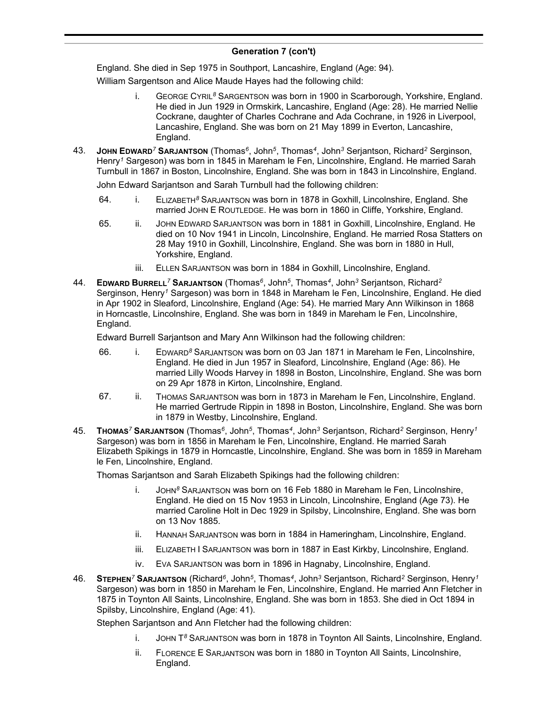England. She died in Sep 1975 in Southport, Lancashire, England (Age: 94).

William Sargentson and Alice Maude Hayes had the following child:

- i. GEORGE CYRIL*<sup>8</sup>* SARGENTSON was born in 1900 in Scarborough, Yorkshire, England. He died in Jun 1929 in Ormskirk, Lancashire, England (Age: 28). He married Nellie Cockrane, daughter of Charles Cochrane and Ada Cochrane, in 1926 in Liverpool, Lancashire, England. She was born on 21 May 1899 in Everton, Lancashire, England.
- 43. **JOHN EDWARD***<sup>7</sup>* **SARJANTSON** (Thomas*<sup>6</sup>* , John*<sup>5</sup>* , Thomas*<sup>4</sup>* , John*<sup>3</sup>* Serjantson, Richard*<sup>2</sup>* Serginson, Henry*<sup>1</sup>* Sargeson) was born in 1845 in Mareham le Fen, Lincolnshire, England. He married Sarah Turnbull in 1867 in Boston, Lincolnshire, England. She was born in 1843 in Lincolnshire, England.

John Edward Sarjantson and Sarah Turnbull had the following children:

- 64. i. ELIZABETH*<sup>8</sup>* SARJANTSON was born in 1878 in Goxhill, Lincolnshire, England. She married JOHN E ROUTLEDGE. He was born in 1860 in Cliffe, Yorkshire, England.
- 65. ii. JOHN EDWARD SARJANTSON was born in 1881 in Goxhill, Lincolnshire, England. He died on 10 Nov 1941 in Lincoln, Lincolnshire, England. He married Rosa Statters on 28 May 1910 in Goxhill, Lincolnshire, England. She was born in 1880 in Hull, Yorkshire, England.
	- iii. ELLEN SARJANTSON was born in 1884 in Goxhill, Lincolnshire, England.
- 44. **EDWARD BURRELL***<sup>7</sup>* **SARJANTSON** (Thomas*<sup>6</sup>* , John*<sup>5</sup>* , Thomas*<sup>4</sup>* , John*<sup>3</sup>* Serjantson, Richard*<sup>2</sup>* Serginson, Henry*<sup>1</sup>* Sargeson) was born in 1848 in Mareham le Fen, Lincolnshire, England. He died in Apr 1902 in Sleaford, Lincolnshire, England (Age: 54). He married Mary Ann Wilkinson in 1868 in Horncastle, Lincolnshire, England. She was born in 1849 in Mareham le Fen, Lincolnshire, England.

Edward Burrell Sarjantson and Mary Ann Wilkinson had the following children:

- 66. i. EDWARD*<sup>8</sup>* SARJANTSON was born on 03 Jan 1871 in Mareham le Fen, Lincolnshire, England. He died in Jun 1957 in Sleaford, Lincolnshire, England (Age: 86). He married Lilly Woods Harvey in 1898 in Boston, Lincolnshire, England. She was born on 29 Apr 1878 in Kirton, Lincolnshire, England.
- 67. ii. THOMAS SARJANTSON was born in 1873 in Mareham le Fen, Lincolnshire, England. He married Gertrude Rippin in 1898 in Boston, Lincolnshire, England. She was born in 1879 in Westby, Lincolnshire, England.
- 45. **THOMAS***<sup>7</sup>* **SARJANTSON** (Thomas*<sup>6</sup>* , John*<sup>5</sup>* , Thomas*<sup>4</sup>* , John*<sup>3</sup>* Serjantson, Richard*<sup>2</sup>* Serginson, Henry*<sup>1</sup>* Sargeson) was born in 1856 in Mareham le Fen, Lincolnshire, England. He married Sarah Elizabeth Spikings in 1879 in Horncastle, Lincolnshire, England. She was born in 1859 in Mareham le Fen, Lincolnshire, England.

Thomas Sarjantson and Sarah Elizabeth Spikings had the following children:

- i. JOHN*<sup>8</sup>* SARJANTSON was born on 16 Feb 1880 in Mareham le Fen, Lincolnshire, England. He died on 15 Nov 1953 in Lincoln, Lincolnshire, England (Age 73). He married Caroline Holt in Dec 1929 in Spilsby, Lincolnshire, England. She was born on 13 Nov 1885.
- ii. HANNAH SARJANTSON was born in 1884 in Hameringham, Lincolnshire, England.
- iii. ELIZABETH I SARJANTSON was born in 1887 in East Kirkby, Lincolnshire, England.
- iv. EVA SARJANTSON was born in 1896 in Hagnaby, Lincolnshire, England.
- 46. **STEPHEN***<sup>7</sup>* **SARJANTSON** (Richard*<sup>6</sup>* , John*<sup>5</sup>* , Thomas*<sup>4</sup>* , John*<sup>3</sup>* Serjantson, Richard*<sup>2</sup>* Serginson, Henry*<sup>1</sup>* Sargeson) was born in 1850 in Mareham le Fen, Lincolnshire, England. He married Ann Fletcher in 1875 in Toynton All Saints, Lincolnshire, England. She was born in 1853. She died in Oct 1894 in Spilsby, Lincolnshire, England (Age: 41).

Stephen Sarjantson and Ann Fletcher had the following children:

- i. JOHN T *<sup>8</sup>* SARJANTSON was born in 1878 in Toynton All Saints, Lincolnshire, England.
- ii. FLORENCE E SARJANTSON was born in 1880 in Toynton All Saints, Lincolnshire, England.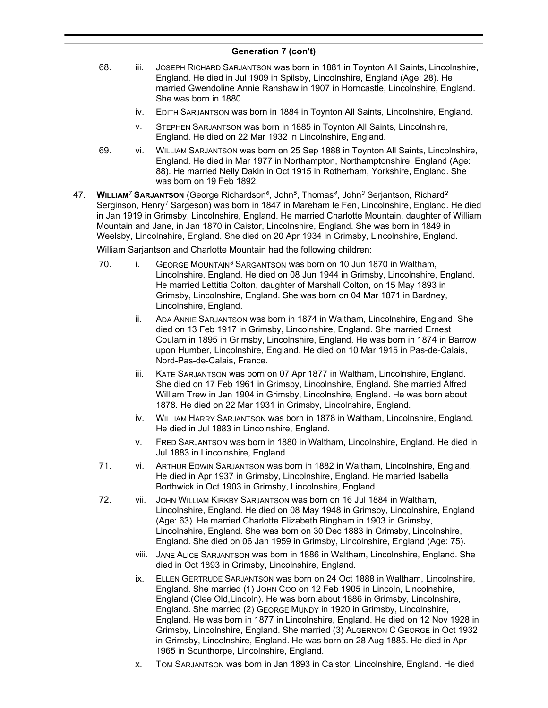- 68. iii. JOSEPH RICHARD SARJANTSON was born in 1881 in Toynton All Saints, Lincolnshire, England. He died in Jul 1909 in Spilsby, Lincolnshire, England (Age: 28). He married Gwendoline Annie Ranshaw in 1907 in Horncastle, Lincolnshire, England. She was born in 1880.
	- iv. EDITH SARJANTSON was born in 1884 in Toynton All Saints, Lincolnshire, England.
	- v. STEPHEN SARJANTSON was born in 1885 in Toynton All Saints, Lincolnshire, England. He died on 22 Mar 1932 in Lincolnshire, England.
- 69. vi. WILLIAM SARJANTSON was born on 25 Sep 1888 in Toynton All Saints, Lincolnshire, England. He died in Mar 1977 in Northampton, Northamptonshire, England (Age: 88). He married Nelly Dakin in Oct 1915 in Rotherham, Yorkshire, England. She was born on 19 Feb 1892.
- 47. **WILLIAM***<sup>7</sup>* **SARJANTSON** (George Richardson*<sup>6</sup>* , John*<sup>5</sup>* , Thomas*<sup>4</sup>* , John*<sup>3</sup>* Serjantson, Richard*<sup>2</sup>* Serginson, Henry*<sup>1</sup>* Sargeson) was born in 1847 in Mareham le Fen, Lincolnshire, England. He died in Jan 1919 in Grimsby, Lincolnshire, England. He married Charlotte Mountain, daughter of William Mountain and Jane, in Jan 1870 in Caistor, Lincolnshire, England. She was born in 1849 in Weelsby, Lincolnshire, England. She died on 20 Apr 1934 in Grimsby, Lincolnshire, England.

William Sarjantson and Charlotte Mountain had the following children:

- 70. i. GEORGE MOUNTAIN*<sup>8</sup>* SARGANTSON was born on 10 Jun 1870 in Waltham, Lincolnshire, England. He died on 08 Jun 1944 in Grimsby, Lincolnshire, England. He married Lettitia Colton, daughter of Marshall Colton, on 15 May 1893 in Grimsby, Lincolnshire, England. She was born on 04 Mar 1871 in Bardney, Lincolnshire, England.
	- ii. ADA ANNIE SARJANTSON was born in 1874 in Waltham, Lincolnshire, England. She died on 13 Feb 1917 in Grimsby, Lincolnshire, England. She married Ernest Coulam in 1895 in Grimsby, Lincolnshire, England. He was born in 1874 in Barrow upon Humber, Lincolnshire, England. He died on 10 Mar 1915 in Pas-de-Calais, Nord-Pas-de-Calais, France.
	- iii. KATE SARJANTSON was born on 07 Apr 1877 in Waltham, Lincolnshire, England. She died on 17 Feb 1961 in Grimsby, Lincolnshire, England. She married Alfred William Trew in Jan 1904 in Grimsby, Lincolnshire, England. He was born about 1878. He died on 22 Mar 1931 in Grimsby, Lincolnshire, England.
	- iv. WILLIAM HARRY SARJANTSON was born in 1878 in Waltham, Lincolnshire, England. He died in Jul 1883 in Lincolnshire, England.
	- v. FRED SARJANTSON was born in 1880 in Waltham, Lincolnshire, England. He died in Jul 1883 in Lincolnshire, England.
- 71. vi. ARTHUR EDWIN SARJANTSON was born in 1882 in Waltham, Lincolnshire, England. He died in Apr 1937 in Grimsby, Lincolnshire, England. He married Isabella Borthwick in Oct 1903 in Grimsby, Lincolnshire, England.
- 72. vii. JOHN WILLIAM KIRKBY SARJANTSON was born on 16 Jul 1884 in Waltham, Lincolnshire, England. He died on 08 May 1948 in Grimsby, Lincolnshire, England (Age: 63). He married Charlotte Elizabeth Bingham in 1903 in Grimsby, Lincolnshire, England. She was born on 30 Dec 1883 in Grimsby, Lincolnshire, England. She died on 06 Jan 1959 in Grimsby, Lincolnshire, England (Age: 75).
	- viii. JANE ALICE SARJANTSON was born in 1886 in Waltham, Lincolnshire, England. She died in Oct 1893 in Grimsby, Lincolnshire, England.
	- ix. ELLEN GERTRUDE SARJANTSON was born on 24 Oct 1888 in Waltham, Lincolnshire, England. She married (1) JOHN COO on 12 Feb 1905 in Lincoln, Lincolnshire, England (Clee Old,Lincoln). He was born about 1886 in Grimsby, Lincolnshire, England. She married (2) GEORGE MUNDY in 1920 in Grimsby, Lincolnshire, England. He was born in 1877 in Lincolnshire, England. He died on 12 Nov 1928 in Grimsby, Lincolnshire, England. She married (3) ALGERNON C GEORGE in Oct 1932 in Grimsby, Lincolnshire, England. He was born on 28 Aug 1885. He died in Apr 1965 in Scunthorpe, Lincolnshire, England.
	- x. TOM SARJANTSON was born in Jan 1893 in Caistor, Lincolnshire, England. He died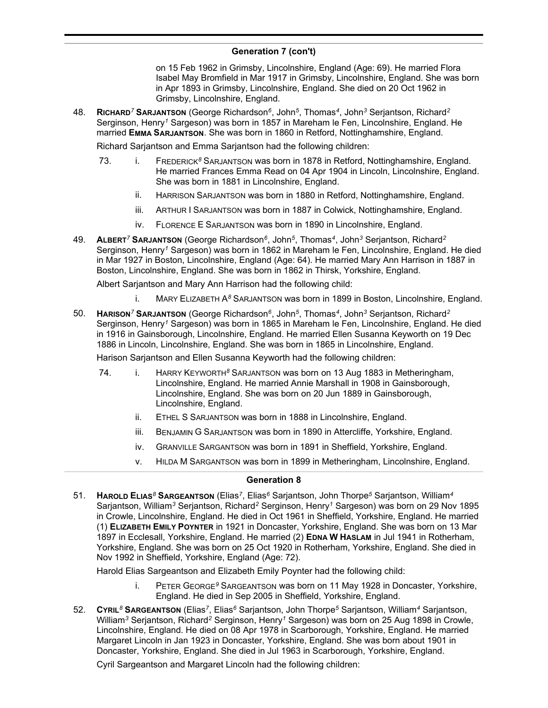#### **Generation 7 (con't)**  $\sum_{i=1}^n$   $\sum_{i=1}^n$  1893 in  $\sum_{i=1}^n$

on 15 Feb 1962 in Grimsby, Lincolnshire, England (Age: 69). He married Flora Isabel May Bromfield in Mar 1917 in Grimsby, Lincolnshire, England. She was born in Apr 1893 in Grimsby, Lincolnshire, England. She died on 20 Oct 1962 in Grimsby, Lincolnshire, England.

48. **RICHARD***<sup>7</sup>* **SARJANTSON** (George Richardson*<sup>6</sup>* , John*<sup>5</sup>* , Thomas*<sup>4</sup>* , John*<sup>3</sup>* Serjantson, Richard*<sup>2</sup>* Serginson, Henry*<sup>1</sup>* Sargeson) was born in 1857 in Mareham le Fen, Lincolnshire, England. He married **EMMA SARJANTSON**. She was born in 1860 in Retford, Nottinghamshire, England.

Richard Sarjantson and Emma Sarjantson had the following children:

- 73. i. FREDERICK*<sup>8</sup>* SARJANTSON was born in 1878 in Retford, Nottinghamshire, England. He married Frances Emma Read on 04 Apr 1904 in Lincoln, Lincolnshire, England. She was born in 1881 in Lincolnshire, England.
	- ii. HARRISON SARJANTSON was born in 1880 in Retford, Nottinghamshire, England.
	- iii. ARTHUR I SARJANTSON was born in 1887 in Colwick, Nottinghamshire, England.
	- iv. FLORENCE E SARJANTSON was born in 1890 in Lincolnshire, England.
- 49. **ALBERT***<sup>7</sup>* **SARJANTSON** (George Richardson*<sup>6</sup>* , John*<sup>5</sup>* , Thomas*<sup>4</sup>* , John*<sup>3</sup>* Serjantson, Richard*<sup>2</sup>* Serginson, Henry*<sup>1</sup>* Sargeson) was born in 1862 in Mareham le Fen, Lincolnshire, England. He died in Mar 1927 in Boston, Lincolnshire, England (Age: 64). He married Mary Ann Harrison in 1887 in Boston, Lincolnshire, England. She was born in 1862 in Thirsk, Yorkshire, England.

Albert Sarjantson and Mary Ann Harrison had the following child:

- i. MARY ELIZABETH A*<sup>8</sup>* SARJANTSON was born in 1899 in Boston, Lincolnshire, England.
- 50. **HARISON***<sup>7</sup>* **SARJANTSON** (George Richardson*<sup>6</sup>* , John*<sup>5</sup>* , Thomas*<sup>4</sup>* , John*<sup>3</sup>* Serjantson, Richard*<sup>2</sup>* Serginson, Henry*<sup>1</sup>* Sargeson) was born in 1865 in Mareham le Fen, Lincolnshire, England. He died in 1916 in Gainsborough, Lincolnshire, England. He married Ellen Susanna Keyworth on 19 Dec 1886 in Lincoln, Lincolnshire, England. She was born in 1865 in Lincolnshire, England.

Harison Sarjantson and Ellen Susanna Keyworth had the following children:

- 74. i. HARRY KEYWORTH*<sup>8</sup>* SARJANTSON was born on 13 Aug 1883 in Metheringham, Lincolnshire, England. He married Annie Marshall in 1908 in Gainsborough, Lincolnshire, England. She was born on 20 Jun 1889 in Gainsborough, Lincolnshire, England.
	- ii. ETHEL S SARJANTSON was born in 1888 in Lincolnshire, England.
	- iii. BENJAMIN G SARJANTSON was born in 1890 in Attercliffe, Yorkshire, England.
	- iv. GRANVILLE SARGANTSON was born in 1891 in Sheffield, Yorkshire, England.
	- v. HILDA M SARGANTSON was born in 1899 in Metheringham, Lincolnshire, England.

#### **Generation 8**

51. **HAROLD ELIAS***<sup>8</sup>* **SARGEANTSON** (Elias*<sup>7</sup>* , Elias*<sup>6</sup>* Sarjantson, John Thorpe*<sup>5</sup>* Sarjantson, William*<sup>4</sup>* Sarjantson, William*<sup>3</sup>* Serjantson, Richard*<sup>2</sup>* Serginson, Henry*<sup>1</sup>* Sargeson) was born on 29 Nov 1895 in Crowle, Lincolnshire, England. He died in Oct 1961 in Sheffield, Yorkshire, England. He married (1) **ELIZABETH EMILY POYNTER** in 1921 in Doncaster, Yorkshire, England. She was born on 13 Mar 1897 in Ecclesall, Yorkshire, England. He married (2) **EDNA W HASLAM** in Jul 1941 in Rotherham, Yorkshire, England. She was born on 25 Oct 1920 in Rotherham, Yorkshire, England. She died in Nov 1992 in Sheffield, Yorkshire, England (Age: 72).

Harold Elias Sargeantson and Elizabeth Emily Poynter had the following child:

- i. PETER GEORGE*<sup>9</sup>* SARGEANTSON was born on 11 May 1928 in Doncaster, Yorkshire, England. He died in Sep 2005 in Sheffield, Yorkshire, England.
- 52. **CYRIL***<sup>8</sup>* **SARGEANTSON** (Elias*<sup>7</sup>* , Elias*<sup>6</sup>* Sarjantson, John Thorpe*<sup>5</sup>* Sarjantson, William*<sup>4</sup>* Sarjantson, William*<sup>3</sup>* Serjantson, Richard*<sup>2</sup>* Serginson, Henry*<sup>1</sup>* Sargeson) was born on 25 Aug 1898 in Crowle, Lincolnshire, England. He died on 08 Apr 1978 in Scarborough, Yorkshire, England. He married Margaret Lincoln in Jan 1923 in Doncaster, Yorkshire, England. She was born about 1901 in Doncaster, Yorkshire, England. She died in Jul 1963 in Scarborough, Yorkshire, England.

Cyril Sargeantson and Margaret Lincoln had the following children: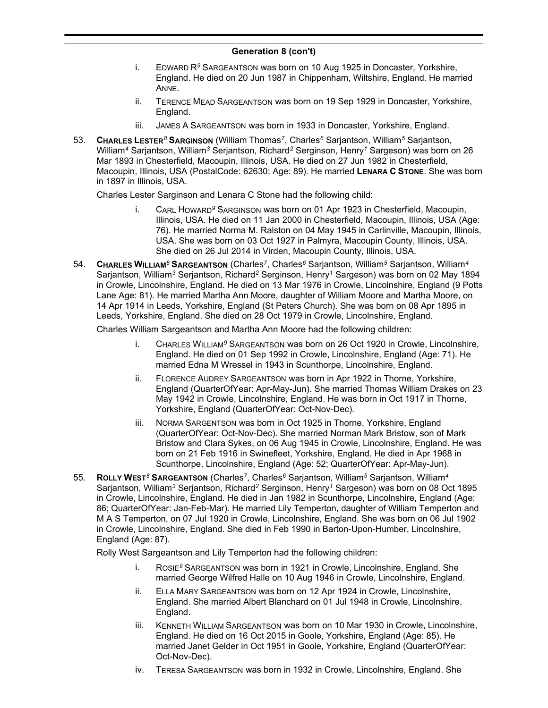- i. EDWARD R*<sup>9</sup>* SARGEANTSON was born on 10 Aug 1925 in Doncaster, Yorkshire, England. He died on 20 Jun 1987 in Chippenham, Wiltshire, England. He married ANNE.
- ii. TERENCE MEAD SARGEANTSON was born on 19 Sep 1929 in Doncaster, Yorkshire, England.
- iii. JAMES A SARGEANTSON was born in 1933 in Doncaster, Yorkshire, England.
- 53. **CHARLES LESTER***<sup>8</sup>* **SARGINSON** (William Thomas*<sup>7</sup>* , Charles*<sup>6</sup>* Sarjantson, William*<sup>5</sup>* Sarjantson, William*<sup>4</sup>* Sarjantson, William*<sup>3</sup>* Serjantson, Richard*<sup>2</sup>* Serginson, Henry*<sup>1</sup>* Sargeson) was born on 26 Mar 1893 in Chesterfield, Macoupin, Illinois, USA. He died on 27 Jun 1982 in Chesterfield, Macoupin, Illinois, USA (PostalCode: 62630; Age: 89). He married **LENARA C STONE**. She was born in 1897 in Illinois, USA.

Charles Lester Sarginson and Lenara C Stone had the following child:

- i. CARL HOWARD*<sup>9</sup>* SARGINSON was born on 01 Apr 1923 in Chesterfield, Macoupin, Illinois, USA. He died on 11 Jan 2000 in Chesterfield, Macoupin, Illinois, USA (Age: 76). He married Norma M. Ralston on 04 May 1945 in Carlinville, Macoupin, Illinois, USA. She was born on 03 Oct 1927 in Palmyra, Macoupin County, Illinois, USA. She died on 26 Jul 2014 in Virden, Macoupin County, Illinois, USA.
- 54. **CHARLES WILLIAM***<sup>8</sup>* **SARGEANTSON** (Charles*<sup>7</sup>* , Charles*<sup>6</sup>* Sarjantson, William*<sup>5</sup>* Sarjantson, William*<sup>4</sup>* Sarjantson, William*<sup>3</sup>* Serjantson, Richard*<sup>2</sup>* Serginson, Henry*<sup>1</sup>* Sargeson) was born on 02 May 1894 in Crowle, Lincolnshire, England. He died on 13 Mar 1976 in Crowle, Lincolnshire, England (9 Potts Lane Age: 81). He married Martha Ann Moore, daughter of William Moore and Martha Moore, on 14 Apr 1914 in Leeds, Yorkshire, England (St Peters Church). She was born on 08 Apr 1895 in Leeds, Yorkshire, England. She died on 28 Oct 1979 in Crowle, Lincolnshire, England.

Charles William Sargeantson and Martha Ann Moore had the following children:

- i. CHARLES WILLIAM*<sup>9</sup>* SARGEANTSON was born on 26 Oct 1920 in Crowle, Lincolnshire, England. He died on 01 Sep 1992 in Crowle, Lincolnshire, England (Age: 71). He married Edna M Wressel in 1943 in Scunthorpe, Lincolnshire, England.
- ii. FLORENCE AUDREY SARGEANTSON was born in Apr 1922 in Thorne, Yorkshire, England (QuarterOfYear: Apr-May-Jun). She married Thomas William Drakes on 23 May 1942 in Crowle, Lincolnshire, England. He was born in Oct 1917 in Thorne, Yorkshire, England (QuarterOfYear: Oct-Nov-Dec).
- iii. NORMA SARGENTSON was born in Oct 1925 in Thorne, Yorkshire, England (QuarterOfYear: Oct-Nov-Dec). She married Norman Mark Bristow, son of Mark Bristow and Clara Sykes, on 06 Aug 1945 in Crowle, Lincolnshire, England. He was born on 21 Feb 1916 in Swinefleet, Yorkshire, England. He died in Apr 1968 in Scunthorpe, Lincolnshire, England (Age: 52; QuarterOfYear: Apr-May-Jun).
- 55. **ROLLY WEST***<sup>8</sup>* **SARGEANTSON** (Charles*<sup>7</sup>* , Charles*<sup>6</sup>* Sarjantson, William*<sup>5</sup>* Sarjantson, William*<sup>4</sup>* Sarjantson, William*<sup>3</sup>* Serjantson, Richard*<sup>2</sup>* Serginson, Henry*<sup>1</sup>* Sargeson) was born on 08 Oct 1895 in Crowle, Lincolnshire, England. He died in Jan 1982 in Scunthorpe, Lincolnshire, England (Age: 86; QuarterOfYear: Jan-Feb-Mar). He married Lily Temperton, daughter of William Temperton and M A S Temperton, on 07 Jul 1920 in Crowle, Lincolnshire, England. She was born on 06 Jul 1902 in Crowle, Lincolnshire, England. She died in Feb 1990 in Barton-Upon-Humber, Lincolnshire, England (Age: 87).

Rolly West Sargeantson and Lily Temperton had the following children:

- i. ROSIE*<sup>9</sup>* SARGEANTSON was born in 1921 in Crowle, Lincolnshire, England. She married George Wilfred Halle on 10 Aug 1946 in Crowle, Lincolnshire, England.
- ii. ELLA MARY SARGEANTSON was born on 12 Apr 1924 in Crowle, Lincolnshire, England. She married Albert Blanchard on 01 Jul 1948 in Crowle, Lincolnshire, England.
- iii. KENNETH WILLIAM SARGEANTSON was born on 10 Mar 1930 in Crowle, Lincolnshire, England. He died on 16 Oct 2015 in Goole, Yorkshire, England (Age: 85). He married Janet Gelder in Oct 1951 in Goole, Yorkshire, England (QuarterOfYear: Oct-Nov-Dec).
- iv. TERESA SARGEANTSON was born in 1932 in Crowle, Lincolnshire, England. She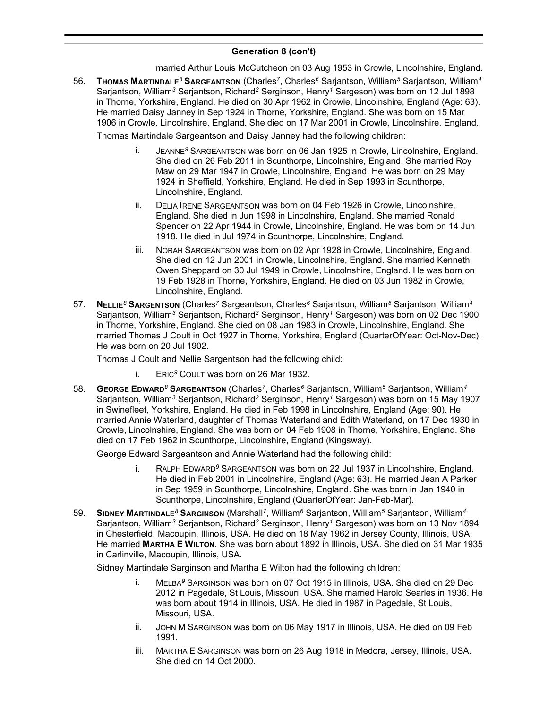married Arthur Louis McCutcheon on 03 Aug 1953 in Crowle, Lincolnshire, England.

56. **THOMAS MARTINDALE***<sup>8</sup>* **SARGEANTSON** (Charles*<sup>7</sup>* , Charles*<sup>6</sup>* Sarjantson, William*<sup>5</sup>* Sarjantson, William*<sup>4</sup>* Sarjantson, William*<sup>3</sup>* Serjantson, Richard*<sup>2</sup>* Serginson, Henry*<sup>1</sup>* Sargeson) was born on 12 Jul 1898 in Thorne, Yorkshire, England. He died on 30 Apr 1962 in Crowle, Lincolnshire, England (Age: 63). He married Daisy Janney in Sep 1924 in Thorne, Yorkshire, England. She was born on 15 Mar 1906 in Crowle, Lincolnshire, England. She died on 17 Mar 2001 in Crowle, Lincolnshire, England.

Thomas Martindale Sargeantson and Daisy Janney had the following children:

- i. JEANNE*<sup>9</sup>* SARGEANTSON was born on 06 Jan 1925 in Crowle, Lincolnshire, England. She died on 26 Feb 2011 in Scunthorpe, Lincolnshire, England. She married Roy Maw on 29 Mar 1947 in Crowle, Lincolnshire, England. He was born on 29 May 1924 in Sheffield, Yorkshire, England. He died in Sep 1993 in Scunthorpe, Lincolnshire, England.
- ii. DELIA IRENE SARGEANTSON was born on 04 Feb 1926 in Crowle, Lincolnshire, England. She died in Jun 1998 in Lincolnshire, England. She married Ronald Spencer on 22 Apr 1944 in Crowle, Lincolnshire, England. He was born on 14 Jun 1918. He died in Jul 1974 in Scunthorpe, Lincolnshire, England.
- iii. NORAH SARGEANTSON was born on 02 Apr 1928 in Crowle, Lincolnshire, England. She died on 12 Jun 2001 in Crowle, Lincolnshire, England. She married Kenneth Owen Sheppard on 30 Jul 1949 in Crowle, Lincolnshire, England. He was born on 19 Feb 1928 in Thorne, Yorkshire, England. He died on 03 Jun 1982 in Crowle, Lincolnshire, England.
- 57. **NELLIE***<sup>8</sup>* **SARGENTSON** (Charles*<sup>7</sup>* Sargeantson, Charles*<sup>6</sup>* Sarjantson, William*<sup>5</sup>* Sarjantson, William*<sup>4</sup>* Sarjantson, William*<sup>3</sup>* Serjantson, Richard*<sup>2</sup>* Serginson, Henry*<sup>1</sup>* Sargeson) was born on 02 Dec 1900 in Thorne, Yorkshire, England. She died on 08 Jan 1983 in Crowle, Lincolnshire, England. She married Thomas J Coult in Oct 1927 in Thorne, Yorkshire, England (QuarterOfYear: Oct-Nov-Dec). He was born on 20 Jul 1902.

Thomas J Coult and Nellie Sargentson had the following child:

- i. ERIC*<sup>9</sup>* COULT was born on 26 Mar 1932.
- 58. **GEORGE EDWARD***<sup>8</sup>* **SARGEANTSON** (Charles*<sup>7</sup>* , Charles*<sup>6</sup>* Sarjantson, William*<sup>5</sup>* Sarjantson, William*<sup>4</sup>* Sarjantson, William*<sup>3</sup>* Serjantson, Richard*<sup>2</sup>* Serginson, Henry*<sup>1</sup>* Sargeson) was born on 15 May 1907 in Swinefleet, Yorkshire, England. He died in Feb 1998 in Lincolnshire, England (Age: 90). He married Annie Waterland, daughter of Thomas Waterland and Edith Waterland, on 17 Dec 1930 in Crowle, Lincolnshire, England. She was born on 04 Feb 1908 in Thorne, Yorkshire, England. She died on 17 Feb 1962 in Scunthorpe, Lincolnshire, England (Kingsway).

George Edward Sargeantson and Annie Waterland had the following child:

- i. RALPH EDWARD*<sup>9</sup>* SARGEANTSON was born on 22 Jul 1937 in Lincolnshire, England. He died in Feb 2001 in Lincolnshire, England (Age: 63). He married Jean A Parker in Sep 1959 in Scunthorpe, Lincolnshire, England. She was born in Jan 1940 in Scunthorpe, Lincolnshire, England (QuarterOfYear: Jan-Feb-Mar).
- 59. **SIDNEY MARTINDALE***<sup>8</sup>* **SARGINSON** (Marshall*<sup>7</sup>* , William*<sup>6</sup>* Sarjantson, William*<sup>5</sup>* Sarjantson, William*<sup>4</sup>* Sarjantson, William*<sup>3</sup>* Serjantson, Richard*<sup>2</sup>* Serginson, Henry*<sup>1</sup>* Sargeson) was born on 13 Nov 1894 in Chesterfield, Macoupin, Illinois, USA. He died on 18 May 1962 in Jersey County, Illinois, USA. He married **MARTHA E WILTON**. She was born about 1892 in Illinois, USA. She died on 31 Mar 1935 in Carlinville, Macoupin, Illinois, USA.

Sidney Martindale Sarginson and Martha E Wilton had the following children:

- i. MELBA*<sup>9</sup>* SARGINSON was born on 07 Oct 1915 in Illinois, USA. She died on 29 Dec 2012 in Pagedale, St Louis, Missouri, USA. She married Harold Searles in 1936. He was born about 1914 in Illinois, USA. He died in 1987 in Pagedale, St Louis, Missouri, USA.
- ii. JOHN M SARGINSON was born on 06 May 1917 in Illinois, USA. He died on 09 Feb 1991.
- iii. MARTHA E SARGINSON was born on 26 Aug 1918 in Medora, Jersey, Illinois, USA. She died on 14 Oct 2000.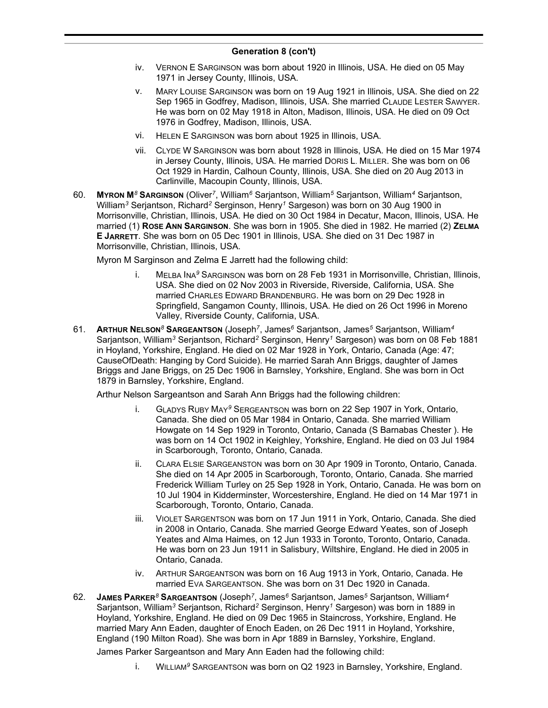- iv. VERNON E SARGINSON was born about 1920 in Illinois, USA. He died on 05 May 1971 in Jersey County, Illinois, USA.
- v. MARY LOUISE SARGINSON was born on 19 Aug 1921 in Illinois, USA. She died on 22 Sep 1965 in Godfrey, Madison, Illinois, USA. She married CLAUDE LESTER SAWYER. He was born on 02 May 1918 in Alton, Madison, Illinois, USA. He died on 09 Oct 1976 in Godfrey, Madison, Illinois, USA.
- vi. HELEN E SARGINSON was born about 1925 in Illinois, USA.
- vii. CLYDE W SARGINSON was born about 1928 in Illinois, USA. He died on 15 Mar 1974 in Jersey County, Illinois, USA. He married DORIS L. MILLER. She was born on 06 Oct 1929 in Hardin, Calhoun County, Illinois, USA. She died on 20 Aug 2013 in Carlinville, Macoupin County, Illinois, USA.
- 60. **MYRON M***<sup>8</sup>* **SARGINSON** (Oliver*<sup>7</sup>* , William*<sup>6</sup>* Sarjantson, William*<sup>5</sup>* Sarjantson, William*<sup>4</sup>* Sarjantson, William*<sup>3</sup>* Serjantson, Richard*<sup>2</sup>* Serginson, Henry*<sup>1</sup>* Sargeson) was born on 30 Aug 1900 in Morrisonville, Christian, Illinois, USA. He died on 30 Oct 1984 in Decatur, Macon, Illinois, USA. He married (1) **ROSE ANN SARGINSON**. She was born in 1905. She died in 1982. He married (2) **ZELMA E JARRETT**. She was born on 05 Dec 1901 in Illinois, USA. She died on 31 Dec 1987 in Morrisonville, Christian, Illinois, USA.

Myron M Sarginson and Zelma E Jarrett had the following child:

- i. MELBA INA*<sup>9</sup>* SARGINSON was born on 28 Feb 1931 in Morrisonville, Christian, Illinois, USA. She died on 02 Nov 2003 in Riverside, Riverside, California, USA. She married CHARLES EDWARD BRANDENBURG. He was born on 29 Dec 1928 in Springfield, Sangamon County, Illinois, USA. He died on 26 Oct 1996 in Moreno Valley, Riverside County, California, USA.
- 61. **ARTHUR NELSON***<sup>8</sup>* **SARGEANTSON** (Joseph*<sup>7</sup>* , James*<sup>6</sup>* Sarjantson, James*<sup>5</sup>* Sarjantson, William*<sup>4</sup>* Sarjantson, William*<sup>3</sup>* Serjantson, Richard*<sup>2</sup>* Serginson, Henry*<sup>1</sup>* Sargeson) was born on 08 Feb 1881 in Hoyland, Yorkshire, England. He died on 02 Mar 1928 in York, Ontario, Canada (Age: 47; CauseOfDeath: Hanging by Cord Suicide). He married Sarah Ann Briggs, daughter of James Briggs and Jane Briggs, on 25 Dec 1906 in Barnsley, Yorkshire, England. She was born in Oct 1879 in Barnsley, Yorkshire, England.

Arthur Nelson Sargeantson and Sarah Ann Briggs had the following children:

- i. GLADYS RUBY MAY*<sup>9</sup>* SERGEANTSON was born on 22 Sep 1907 in York, Ontario, Canada. She died on 05 Mar 1984 in Ontario, Canada. She married William Howgate on 14 Sep 1929 in Toronto, Ontario, Canada (S Barnabas Chester ). He was born on 14 Oct 1902 in Keighley, Yorkshire, England. He died on 03 Jul 1984 in Scarborough, Toronto, Ontario, Canada.
- ii. CLARA ELSIE SARGEANSTON was born on 30 Apr 1909 in Toronto, Ontario, Canada. She died on 14 Apr 2005 in Scarborough, Toronto, Ontario, Canada. She married Frederick William Turley on 25 Sep 1928 in York, Ontario, Canada. He was born on 10 Jul 1904 in Kidderminster, Worcestershire, England. He died on 14 Mar 1971 in Scarborough, Toronto, Ontario, Canada.
- iii. VIOLET SARGENTSON was born on 17 Jun 1911 in York, Ontario, Canada. She died in 2008 in Ontario, Canada. She married George Edward Yeates, son of Joseph Yeates and Alma Haimes, on 12 Jun 1933 in Toronto, Toronto, Ontario, Canada. He was born on 23 Jun 1911 in Salisbury, Wiltshire, England. He died in 2005 in Ontario, Canada.
- iv. ARTHUR SARGEANTSON was born on 16 Aug 1913 in York, Ontario, Canada. He married EVA SARGEANTSON. She was born on 31 Dec 1920 in Canada.
- 62. **JAMES PARKER***<sup>8</sup>* **SARGEANTSON** (Joseph*<sup>7</sup>* , James*<sup>6</sup>* Sarjantson, James*<sup>5</sup>* Sarjantson, William*<sup>4</sup>* Sarjantson, William*<sup>3</sup>* Serjantson, Richard*<sup>2</sup>* Serginson, Henry*<sup>1</sup>* Sargeson) was born in 1889 in Hoyland, Yorkshire, England. He died on 09 Dec 1965 in Staincross, Yorkshire, England. He married Mary Ann Eaden, daughter of Enoch Eaden, on 26 Dec 1911 in Hoyland, Yorkshire, England (190 Milton Road). She was born in Apr 1889 in Barnsley, Yorkshire, England.

James Parker Sargeantson and Mary Ann Eaden had the following child:

i. WILLIAM*<sup>9</sup>* SARGEANTSON was born on Q2 1923 in Barnsley, Yorkshire, England.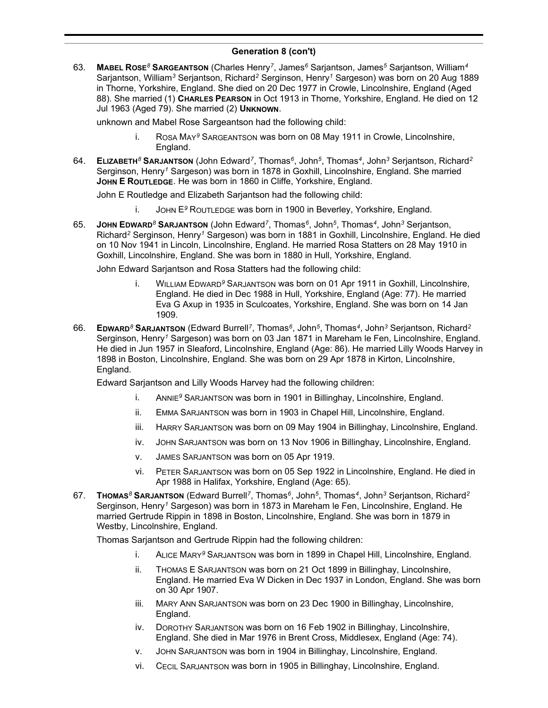63. **MABEL ROSE***<sup>8</sup>* **SARGEANTSON** (Charles Henry*<sup>7</sup>* , James*<sup>6</sup>* Sarjantson, James*<sup>5</sup>* Sarjantson, William*<sup>4</sup>* Sarjantson, William*<sup>3</sup>* Serjantson, Richard*<sup>2</sup>* Serginson, Henry*<sup>1</sup>* Sargeson) was born on 20 Aug 1889 in Thorne, Yorkshire, England. She died on 20 Dec 1977 in Crowle, Lincolnshire, England (Aged 88). She married (1) **CHARLES PEARSON** in Oct 1913 in Thorne, Yorkshire, England. He died on 12 Jul 1963 (Aged 79). She married (2) **UNKNOWN**.

unknown and Mabel Rose Sargeantson had the following child:

- i. ROSA MAY*<sup>9</sup>* SARGEANTSON was born on 08 May 1911 in Crowle, Lincolnshire, England.
- 64. **ELIZABETH***<sup>8</sup>* **SARJANTSON** (John Edward*<sup>7</sup>* , Thomas*<sup>6</sup>* , John*<sup>5</sup>* , Thomas*<sup>4</sup>* , John*<sup>3</sup>* Serjantson, Richard*<sup>2</sup>* Serginson, Henry*<sup>1</sup>* Sargeson) was born in 1878 in Goxhill, Lincolnshire, England. She married **JOHN E ROUTLEDGE**. He was born in 1860 in Cliffe, Yorkshire, England.

John E Routledge and Elizabeth Sarjantson had the following child:

- i. JOHN E*<sup>9</sup>* ROUTLEDGE was born in 1900 in Beverley, Yorkshire, England.
- 65. **JOHN EDWARD***<sup>8</sup>* **SARJANTSON** (John Edward*<sup>7</sup>* , Thomas*<sup>6</sup>* , John*<sup>5</sup>* , Thomas*<sup>4</sup>* , John*<sup>3</sup>* Serjantson, Richard*<sup>2</sup>* Serginson, Henry*<sup>1</sup>* Sargeson) was born in 1881 in Goxhill, Lincolnshire, England. He died on 10 Nov 1941 in Lincoln, Lincolnshire, England. He married Rosa Statters on 28 May 1910 in Goxhill, Lincolnshire, England. She was born in 1880 in Hull, Yorkshire, England.

John Edward Sarjantson and Rosa Statters had the following child:

- i. WILLIAM EDWARD*<sup>9</sup>* SARJANTSON was born on 01 Apr 1911 in Goxhill, Lincolnshire, England. He died in Dec 1988 in Hull, Yorkshire, England (Age: 77). He married Eva G Axup in 1935 in Sculcoates, Yorkshire, England. She was born on 14 Jan 1909.
- 66. **EDWARD***<sup>8</sup>* **SARJANTSON** (Edward Burrell*<sup>7</sup>* , Thomas*<sup>6</sup>* , John*<sup>5</sup>* , Thomas*<sup>4</sup>* , John*<sup>3</sup>* Serjantson, Richard*<sup>2</sup>* Serginson, Henry*<sup>1</sup>* Sargeson) was born on 03 Jan 1871 in Mareham le Fen, Lincolnshire, England. He died in Jun 1957 in Sleaford, Lincolnshire, England (Age: 86). He married Lilly Woods Harvey in 1898 in Boston, Lincolnshire, England. She was born on 29 Apr 1878 in Kirton, Lincolnshire, England.

Edward Sarjantson and Lilly Woods Harvey had the following children:

- i. ANNIE*<sup>9</sup>* SARJANTSON was born in 1901 in Billinghay, Lincolnshire, England.
- ii. EMMA SARJANTSON was born in 1903 in Chapel Hill, Lincolnshire, England.
- iii. HARRY SARJANTSON was born on 09 May 1904 in Billinghay, Lincolnshire, England.
- iv. JOHN SARJANTSON was born on 13 Nov 1906 in Billinghay, Lincolnshire, England.
- v. JAMES SARJANTSON was born on 05 Apr 1919.
- vi. PETER SARJANTSON was born on 05 Sep 1922 in Lincolnshire, England. He died in Apr 1988 in Halifax, Yorkshire, England (Age: 65).
- 67. **THOMAS***<sup>8</sup>* **SARJANTSON** (Edward Burrell*<sup>7</sup>* , Thomas*<sup>6</sup>* , John*<sup>5</sup>* , Thomas*<sup>4</sup>* , John*<sup>3</sup>* Serjantson, Richard*<sup>2</sup>* Serginson, Henry*<sup>1</sup>* Sargeson) was born in 1873 in Mareham le Fen, Lincolnshire, England. He married Gertrude Rippin in 1898 in Boston, Lincolnshire, England. She was born in 1879 in Westby, Lincolnshire, England.

Thomas Sarjantson and Gertrude Rippin had the following children:

- i. ALICE MARY*<sup>9</sup>* SARJANTSON was born in 1899 in Chapel Hill, Lincolnshire, England.
- ii. THOMAS E SARJANTSON was born on 21 Oct 1899 in Billinghay, Lincolnshire, England. He married Eva W Dicken in Dec 1937 in London, England. She was born on 30 Apr 1907.
- iii. MARY ANN SARJANTSON was born on 23 Dec 1900 in Billinghay, Lincolnshire, England.
- iv. DOROTHY SARJANTSON was born on 16 Feb 1902 in Billinghay, Lincolnshire, England. She died in Mar 1976 in Brent Cross, Middlesex, England (Age: 74).
- v. JOHN SARJANTSON was born in 1904 in Billinghay, Lincolnshire, England.
- vi. CECIL SARJANTSON was born in 1905 in Billinghay, Lincolnshire, England.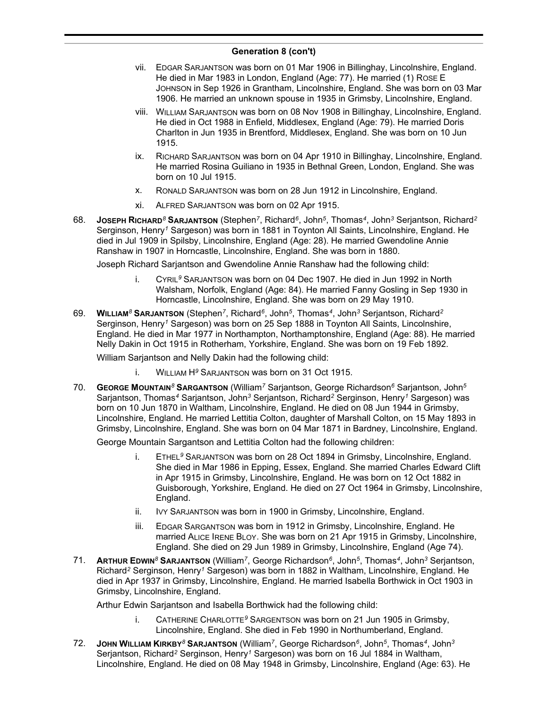- vii. EDGAR SARJANTSON was born on 01 Mar 1906 in Billinghay, Lincolnshire, England. He died in Mar 1983 in London, England (Age: 77). He married (1) Rose E JOHNSON in Sep 1926 in Grantham, Lincolnshire, England. She was born on 03 Mar 1906. He married an unknown spouse in 1935 in Grimsby, Lincolnshire, England.
- viii. WILLIAM SARJANTSON was born on 08 Nov 1908 in Billinghay, Lincolnshire, England. He died in Oct 1988 in Enfield, Middlesex, England (Age: 79). He married Doris Charlton in Jun 1935 in Brentford, Middlesex, England. She was born on 10 Jun 1915.
- ix. RICHARD SARJANTSON was born on 04 Apr 1910 in Billinghay, Lincolnshire, England. He married Rosina Guiliano in 1935 in Bethnal Green, London, England. She was born on 10 Jul 1915.
- x. RONALD SARJANTSON was born on 28 Jun 1912 in Lincolnshire, England.
- xi. ALFRED SARJANTSON was born on 02 Apr 1915.
- 68. **JOSEPH RICHARD***<sup>8</sup>* **SARJANTSON** (Stephen*<sup>7</sup>* , Richard*<sup>6</sup>* , John*<sup>5</sup>* , Thomas*<sup>4</sup>* , John*<sup>3</sup>* Serjantson, Richard*<sup>2</sup>* Serginson, Henry*<sup>1</sup>* Sargeson) was born in 1881 in Toynton All Saints, Lincolnshire, England. He died in Jul 1909 in Spilsby, Lincolnshire, England (Age: 28). He married Gwendoline Annie Ranshaw in 1907 in Horncastle, Lincolnshire, England. She was born in 1880.

Joseph Richard Sarjantson and Gwendoline Annie Ranshaw had the following child:

- i. CYRIL*<sup>9</sup>* SARJANTSON was born on 04 Dec 1907. He died in Jun 1992 in North Walsham, Norfolk, England (Age: 84). He married Fanny Gosling in Sep 1930 in Horncastle, Lincolnshire, England. She was born on 29 May 1910.
- 69. **WILLIAM***<sup>8</sup>* **SARJANTSON** (Stephen*<sup>7</sup>* , Richard*<sup>6</sup>* , John*<sup>5</sup>* , Thomas*<sup>4</sup>* , John*<sup>3</sup>* Serjantson, Richard*<sup>2</sup>* Serginson, Henry*<sup>1</sup>* Sargeson) was born on 25 Sep 1888 in Toynton All Saints, Lincolnshire, England. He died in Mar 1977 in Northampton, Northamptonshire, England (Age: 88). He married Nelly Dakin in Oct 1915 in Rotherham, Yorkshire, England. She was born on 19 Feb 1892.

William Sarjantson and Nelly Dakin had the following child:

- i. WILLIAM H*<sup>9</sup>* SARJANTSON was born on 31 Oct 1915.
- 70. **GEORGE MOUNTAIN***<sup>8</sup>* **SARGANTSON** (William*<sup>7</sup>* Sarjantson, George Richardson*<sup>6</sup>* Sarjantson, John*<sup>5</sup>* Sarjantson, Thomas*<sup>4</sup>* Sarjantson, John*<sup>3</sup>* Serjantson, Richard*<sup>2</sup>* Serginson, Henry*<sup>1</sup>* Sargeson) was born on 10 Jun 1870 in Waltham, Lincolnshire, England. He died on 08 Jun 1944 in Grimsby, Lincolnshire, England. He married Lettitia Colton, daughter of Marshall Colton, on 15 May 1893 in Grimsby, Lincolnshire, England. She was born on 04 Mar 1871 in Bardney, Lincolnshire, England.

George Mountain Sargantson and Lettitia Colton had the following children:

- i. ETHEL*<sup>9</sup>* SARJANTSON was born on 28 Oct 1894 in Grimsby, Lincolnshire, England. She died in Mar 1986 in Epping, Essex, England. She married Charles Edward Clift in Apr 1915 in Grimsby, Lincolnshire, England. He was born on 12 Oct 1882 in Guisborough, Yorkshire, England. He died on 27 Oct 1964 in Grimsby, Lincolnshire, England.
- ii. IVY SARJANTSON was born in 1900 in Grimsby, Lincolnshire, England.
- iii. EDGAR SARGANTSON was born in 1912 in Grimsby, Lincolnshire, England. He married ALICE IRENE BLOY. She was born on 21 Apr 1915 in Grimsby, Lincolnshire, England. She died on 29 Jun 1989 in Grimsby, Lincolnshire, England (Age 74).
- 71. **ARTHUR EDWIN***<sup>8</sup>* **SARJANTSON** (William*<sup>7</sup>* , George Richardson*<sup>6</sup>* , John*<sup>5</sup>* , Thomas*<sup>4</sup>* , John*<sup>3</sup>* Serjantson, Richard*<sup>2</sup>* Serginson, Henry*<sup>1</sup>* Sargeson) was born in 1882 in Waltham, Lincolnshire, England. He died in Apr 1937 in Grimsby, Lincolnshire, England. He married Isabella Borthwick in Oct 1903 in Grimsby, Lincolnshire, England.

Arthur Edwin Sarjantson and Isabella Borthwick had the following child:

- i. CATHERINE CHARLOTTE*<sup>9</sup>* SARGENTSON was born on 21 Jun 1905 in Grimsby, Lincolnshire, England. She died in Feb 1990 in Northumberland, England.
- 72. **JOHN WILLIAM KIRKBY***<sup>8</sup>* **SARJANTSON** (William*<sup>7</sup>* , George Richardson*<sup>6</sup>* , John*<sup>5</sup>* , Thomas*<sup>4</sup>* , John*<sup>3</sup>* Serjantson, Richard*<sup>2</sup>* Serginson, Henry*<sup>1</sup>* Sargeson) was born on 16 Jul 1884 in Waltham, Lincolnshire, England. He died on 08 May 1948 in Grimsby, Lincolnshire, England (Age: 63). He